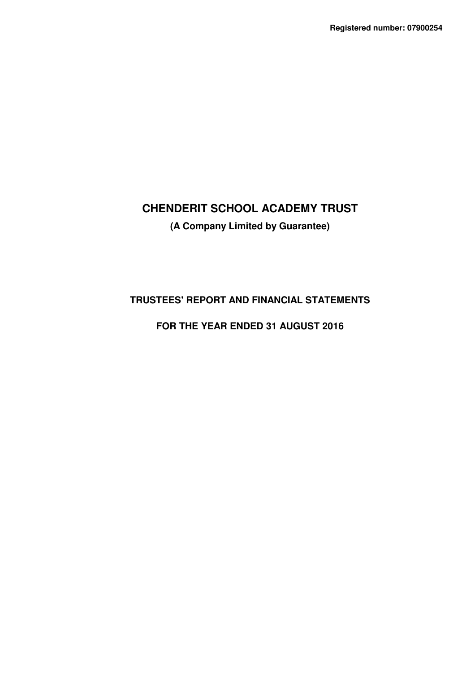# **CHENDERIT SCHOOL ACADEMY TRUST (A Company Limited by Guarantee)**

## **TRUSTEES' REPORT AND FINANCIAL STATEMENTS**

## **FOR THE YEAR ENDED 31 AUGUST 2016**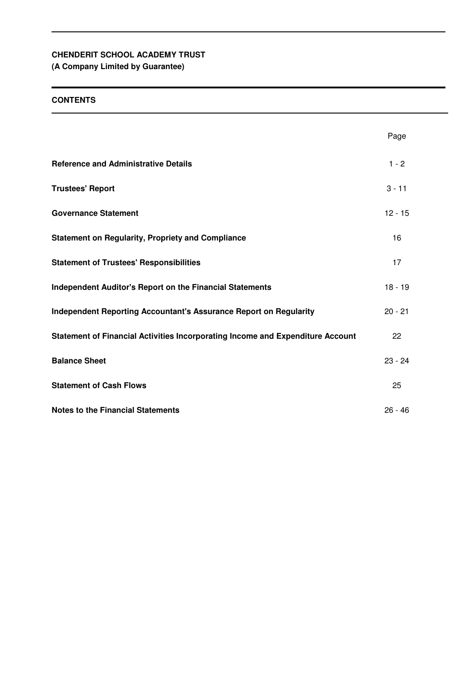**(A Company Limited by Guarantee)**

## **CONTENTS**

|                                                                                | Page      |
|--------------------------------------------------------------------------------|-----------|
| <b>Reference and Administrative Details</b>                                    | $1 - 2$   |
| <b>Trustees' Report</b>                                                        | $3 - 11$  |
| <b>Governance Statement</b>                                                    | $12 - 15$ |
| <b>Statement on Regularity, Propriety and Compliance</b>                       | 16        |
| <b>Statement of Trustees' Responsibilities</b>                                 | 17        |
| <b>Independent Auditor's Report on the Financial Statements</b>                | $18 - 19$ |
| <b>Independent Reporting Accountant's Assurance Report on Regularity</b>       | $20 - 21$ |
| Statement of Financial Activities Incorporating Income and Expenditure Account | 22        |
| <b>Balance Sheet</b>                                                           | $23 - 24$ |
| <b>Statement of Cash Flows</b>                                                 | 25        |
| <b>Notes to the Financial Statements</b>                                       | $26 - 46$ |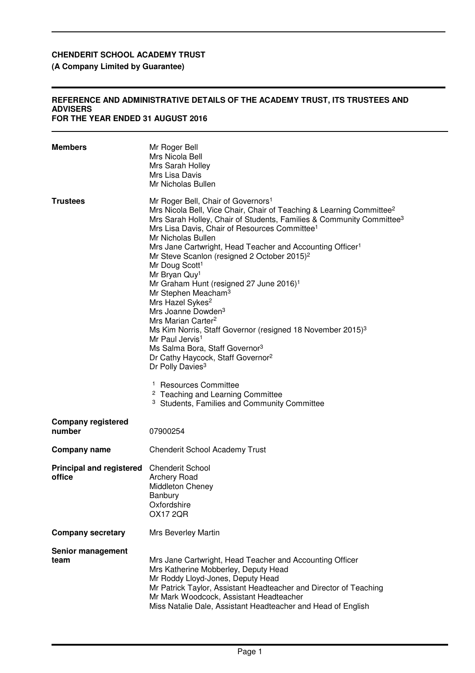## **(A Company Limited by Guarantee)**

#### **REFERENCE AND ADMINISTRATIVE DETAILS OF THE ACADEMY TRUST, ITS TRUSTEES AND ADVISERS FOR THE YEAR ENDED 31 AUGUST 2016**

| <b>Members</b>                            | Mr Roger Bell<br>Mrs Nicola Bell<br>Mrs Sarah Holley<br>Mrs Lisa Davis<br>Mr Nicholas Bullen                                                                                                                                                                                                                                                                                                                                                                                                                                                                                                                                                                                                                                                                                                                                                                                                                                                                                                                                                                                                  |
|-------------------------------------------|-----------------------------------------------------------------------------------------------------------------------------------------------------------------------------------------------------------------------------------------------------------------------------------------------------------------------------------------------------------------------------------------------------------------------------------------------------------------------------------------------------------------------------------------------------------------------------------------------------------------------------------------------------------------------------------------------------------------------------------------------------------------------------------------------------------------------------------------------------------------------------------------------------------------------------------------------------------------------------------------------------------------------------------------------------------------------------------------------|
| <b>Trustees</b>                           | Mr Roger Bell, Chair of Governors <sup>1</sup><br>Mrs Nicola Bell, Vice Chair, Chair of Teaching & Learning Committee <sup>2</sup><br>Mrs Sarah Holley, Chair of Students, Families & Community Committee <sup>3</sup><br>Mrs Lisa Davis, Chair of Resources Committee <sup>1</sup><br>Mr Nicholas Bullen<br>Mrs Jane Cartwright, Head Teacher and Accounting Officer <sup>1</sup><br>Mr Steve Scanlon (resigned 2 October 2015) <sup>2</sup><br>Mr Doug Scott <sup>1</sup><br>Mr Bryan Quy <sup>1</sup><br>Mr Graham Hunt (resigned 27 June 2016) <sup>1</sup><br>Mr Stephen Meacham <sup>3</sup><br>Mrs Hazel Sykes <sup>2</sup><br>Mrs Joanne Dowden <sup>3</sup><br>Mrs Marian Carter <sup>2</sup><br>Ms Kim Norris, Staff Governor (resigned 18 November 2015) <sup>3</sup><br>Mr Paul Jervis <sup>1</sup><br>Ms Salma Bora, Staff Governor <sup>3</sup><br>Dr Cathy Haycock, Staff Governor <sup>2</sup><br>Dr Polly Davies <sup>3</sup><br><sup>1</sup> Resources Committee<br><sup>2</sup> Teaching and Learning Committee<br><sup>3</sup> Students, Families and Community Committee |
| <b>Company registered</b><br>number       | 07900254                                                                                                                                                                                                                                                                                                                                                                                                                                                                                                                                                                                                                                                                                                                                                                                                                                                                                                                                                                                                                                                                                      |
| Company name                              | <b>Chenderit School Academy Trust</b>                                                                                                                                                                                                                                                                                                                                                                                                                                                                                                                                                                                                                                                                                                                                                                                                                                                                                                                                                                                                                                                         |
| <b>Principal and registered</b><br>office | <b>Chenderit School</b><br><b>Archery Road</b><br><b>Middleton Cheney</b><br>Banbury<br>Oxfordshire<br><b>OX17 2QR</b>                                                                                                                                                                                                                                                                                                                                                                                                                                                                                                                                                                                                                                                                                                                                                                                                                                                                                                                                                                        |
| <b>Company secretary</b>                  | Mrs Beverley Martin                                                                                                                                                                                                                                                                                                                                                                                                                                                                                                                                                                                                                                                                                                                                                                                                                                                                                                                                                                                                                                                                           |
| Senior management<br>team                 | Mrs Jane Cartwright, Head Teacher and Accounting Officer<br>Mrs Katherine Mobberley, Deputy Head<br>Mr Roddy Lloyd-Jones, Deputy Head<br>Mr Patrick Taylor, Assistant Headteacher and Director of Teaching<br>Mr Mark Woodcock, Assistant Headteacher<br>Miss Natalie Dale, Assistant Headteacher and Head of English                                                                                                                                                                                                                                                                                                                                                                                                                                                                                                                                                                                                                                                                                                                                                                         |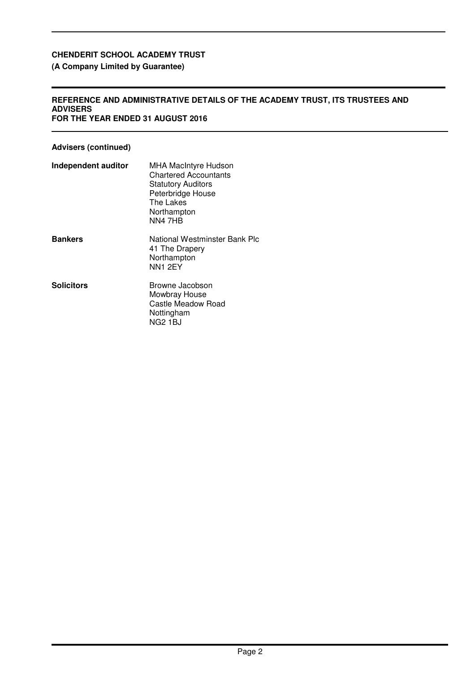## **(A Company Limited by Guarantee)**

#### **REFERENCE AND ADMINISTRATIVE DETAILS OF THE ACADEMY TRUST, ITS TRUSTEES AND ADVISERS FOR THE YEAR ENDED 31 AUGUST 2016**

## **Advisers (continued)**

| Independent auditor | <b>MHA MacIntyre Hudson</b><br><b>Chartered Accountants</b><br><b>Statutory Auditors</b><br>Peterbridge House<br>The Lakes<br>Northampton<br>NN47HB |
|---------------------|-----------------------------------------------------------------------------------------------------------------------------------------------------|
| <b>Bankers</b>      | National Westminster Bank Plc<br>41 The Drapery<br>Northampton<br>NN1 2EY                                                                           |
| <b>Solicitors</b>   | Browne Jacobson<br>Mowbray House<br>Castle Meadow Road<br>Nottingham<br><b>NG2 1BJ</b>                                                              |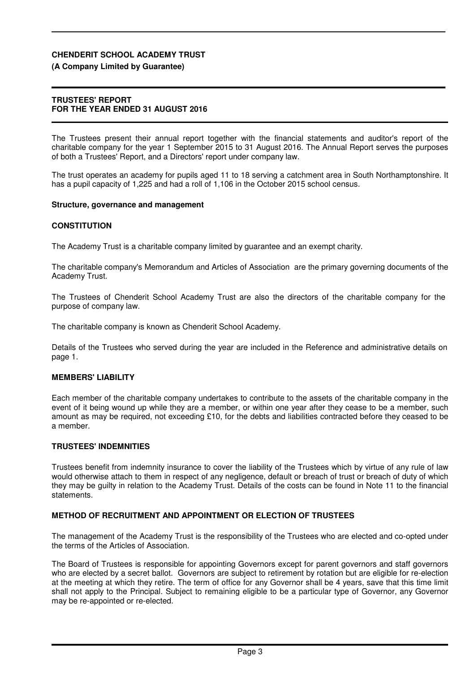### **(A Company Limited by Guarantee)**

### **TRUSTEES' REPORT FOR THE YEAR ENDED 31 AUGUST 2016**

The Trustees present their annual report together with the financial statements and auditor's report of the charitable company for the year 1 September 2015 to 31 August 2016. The Annual Report serves the purposes of both a Trustees' Report, and a Directors' report under company law.

The trust operates an academy for pupils aged 11 to 18 serving a catchment area in South Northamptonshire. It has a pupil capacity of 1,225 and had a roll of 1,106 in the October 2015 school census.

### **Structure, governance and management**

### **CONSTITUTION**

The Academy Trust is a charitable company limited by guarantee and an exempt charity.

The charitable company's Memorandum and Articles of Association are the primary governing documents of the Academy Trust.

The Trustees of Chenderit School Academy Trust are also the directors of the charitable company for the purpose of company law.

The charitable company is known as Chenderit School Academy.

Details of the Trustees who served during the year are included in the Reference and administrative details on page 1.

### **MEMBERS' LIABILITY**

Each member of the charitable company undertakes to contribute to the assets of the charitable company in the event of it being wound up while they are a member, or within one year after they cease to be a member, such amount as may be required, not exceeding £10, for the debts and liabilities contracted before they ceased to be a member.

### **TRUSTEES' INDEMNITIES**

Trustees benefit from indemnity insurance to cover the liability of the Trustees which by virtue of any rule of law would otherwise attach to them in respect of any negligence, default or breach of trust or breach of duty of which they may be guilty in relation to the Academy Trust. Details of the costs can be found in Note 11 to the financial statements.

### **METHOD OF RECRUITMENT AND APPOINTMENT OR ELECTION OF TRUSTEES**

The management of the Academy Trust is the responsibility of the Trustees who are elected and co-opted under the terms of the Articles of Association.

The Board of Trustees is responsible for appointing Governors except for parent governors and staff governors who are elected by a secret ballot. Governors are subject to retirement by rotation but are eligible for re-election at the meeting at which they retire. The term of office for any Governor shall be 4 years, save that this time limit shall not apply to the Principal. Subject to remaining eligible to be a particular type of Governor, any Governor may be re-appointed or re-elected.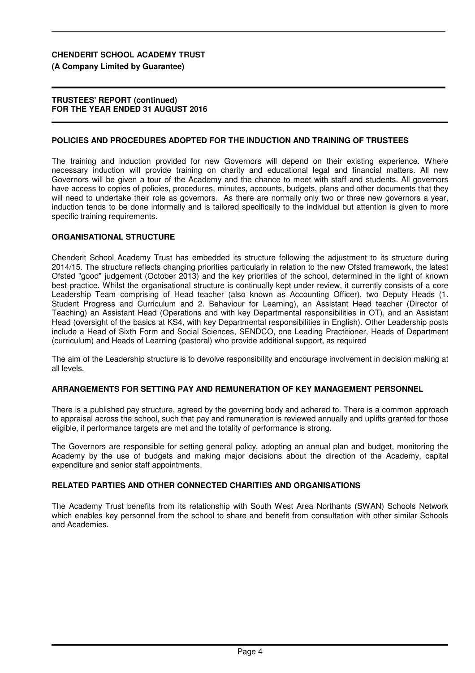### **(A Company Limited by Guarantee)**

#### **TRUSTEES' REPORT (continued) FOR THE YEAR ENDED 31 AUGUST 2016**

### **POLICIES AND PROCEDURES ADOPTED FOR THE INDUCTION AND TRAINING OF TRUSTEES**

The training and induction provided for new Governors will depend on their existing experience. Where necessary induction will provide training on charity and educational legal and financial matters. All new Governors will be given a tour of the Academy and the chance to meet with staff and students. All governors have access to copies of policies, procedures, minutes, accounts, budgets, plans and other documents that they will need to undertake their role as governors. As there are normally only two or three new governors a year, induction tends to be done informally and is tailored specifically to the individual but attention is given to more specific training requirements.

### **ORGANISATIONAL STRUCTURE**

Chenderit School Academy Trust has embedded its structure following the adjustment to its structure during 2014/15. The structure reflects changing priorities particularly in relation to the new Ofsted framework, the latest Ofsted "good" judgement (October 2013) and the key priorities of the school, determined in the light of known best practice. Whilst the organisational structure is continually kept under review, it currently consists of a core Leadership Team comprising of Head teacher (also known as Accounting Officer), two Deputy Heads (1. Student Progress and Curriculum and 2. Behaviour for Learning), an Assistant Head teacher (Director of Teaching) an Assistant Head (Operations and with key Departmental responsibilities in OT), and an Assistant Head (oversight of the basics at KS4, with key Departmental responsibilities in English). Other Leadership posts include a Head of Sixth Form and Social Sciences, SENDCO, one Leading Practitioner, Heads of Department (curriculum) and Heads of Learning (pastoral) who provide additional support, as required

The aim of the Leadership structure is to devolve responsibility and encourage involvement in decision making at all levels.

### **ARRANGEMENTS FOR SETTING PAY AND REMUNERATION OF KEY MANAGEMENT PERSONNEL**

There is a published pay structure, agreed by the governing body and adhered to. There is a common approach to appraisal across the school, such that pay and remuneration is reviewed annually and uplifts granted for those eligible, if performance targets are met and the totality of performance is strong.

The Governors are responsible for setting general policy, adopting an annual plan and budget, monitoring the Academy by the use of budgets and making major decisions about the direction of the Academy, capital expenditure and senior staff appointments.

### **RELATED PARTIES AND OTHER CONNECTED CHARITIES AND ORGANISATIONS**

The Academy Trust benefits from its relationship with South West Area Northants (SWAN) Schools Network which enables key personnel from the school to share and benefit from consultation with other similar Schools and Academies.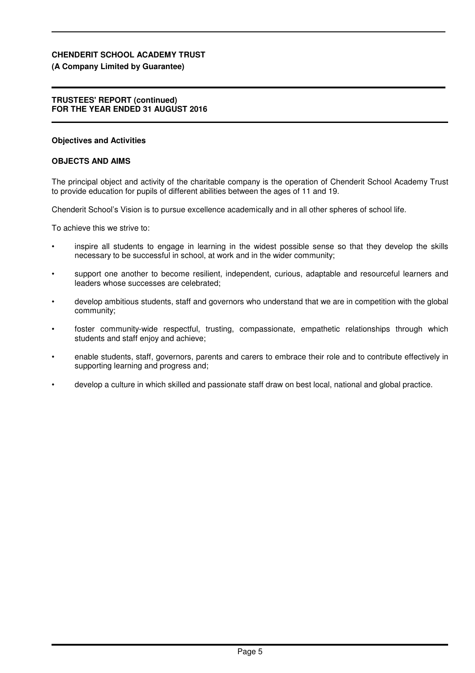### **(A Company Limited by Guarantee)**

### **TRUSTEES' REPORT (continued) FOR THE YEAR ENDED 31 AUGUST 2016**

### **Objectives and Activities**

### **OBJECTS AND AIMS**

The principal object and activity of the charitable company is the operation of Chenderit School Academy Trust to provide education for pupils of different abilities between the ages of 11 and 19.

Chenderit School's Vision is to pursue excellence academically and in all other spheres of school life.

To achieve this we strive to:

- inspire all students to engage in learning in the widest possible sense so that they develop the skills necessary to be successful in school, at work and in the wider community;
- support one another to become resilient, independent, curious, adaptable and resourceful learners and leaders whose successes are celebrated;
- develop ambitious students, staff and governors who understand that we are in competition with the global community;
- foster community-wide respectful, trusting, compassionate, empathetic relationships through which students and staff enjoy and achieve;
- enable students, staff, governors, parents and carers to embrace their role and to contribute effectively in supporting learning and progress and:
- develop a culture in which skilled and passionate staff draw on best local, national and global practice.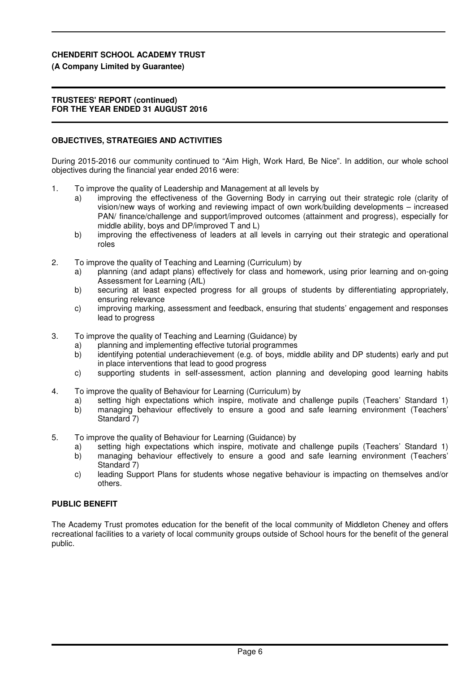### **(A Company Limited by Guarantee)**

### **TRUSTEES' REPORT (continued) FOR THE YEAR ENDED 31 AUGUST 2016**

### **OBJECTIVES, STRATEGIES AND ACTIVITIES**

During 2015-2016 our community continued to "Aim High, Work Hard, Be Nice". In addition, our whole school objectives during the financial year ended 2016 were:

- 1. To improve the quality of Leadership and Management at all levels by
	- a) improving the effectiveness of the Governing Body in carrying out their strategic role (clarity of vision/new ways of working and reviewing impact of own work/building developments – increased PAN/ finance/challenge and support/improved outcomes (attainment and progress), especially for middle ability, boys and DP/improved T and L)
	- b) improving the effectiveness of leaders at all levels in carrying out their strategic and operational roles
- 2. To improve the quality of Teaching and Learning (Curriculum) by
	- a) planning (and adapt plans) effectively for class and homework, using prior learning and on-going Assessment for Learning (AfL)
	- b) securing at least expected progress for all groups of students by differentiating appropriately, ensuring relevance
	- c) improving marking, assessment and feedback, ensuring that students' engagement and responses lead to progress
- 3. To improve the quality of Teaching and Learning (Guidance) by
	- a) planning and implementing effective tutorial programmes
	- b) identifying potential underachievement (e.g. of boys, middle ability and DP students) early and put in place interventions that lead to good progress
	- c) supporting students in self-assessment, action planning and developing good learning habits
- 4. To improve the quality of Behaviour for Learning (Curriculum) by
	- a) setting high expectations which inspire, motivate and challenge pupils (Teachers' Standard 1) b) managing behaviour effectively to ensure a good and safe learning environment (Teachers' Standard 7)
- 5. To improve the quality of Behaviour for Learning (Guidance) by
	- a) setting high expectations which inspire, motivate and challenge pupils (Teachers' Standard 1)
	- b) managing behaviour effectively to ensure a good and safe learning environment (Teachers' Standard 7)
	- c) leading Support Plans for students whose negative behaviour is impacting on themselves and/or others.

## **PUBLIC BENEFIT**

The Academy Trust promotes education for the benefit of the local community of Middleton Cheney and offers recreational facilities to a variety of local community groups outside of School hours for the benefit of the general public.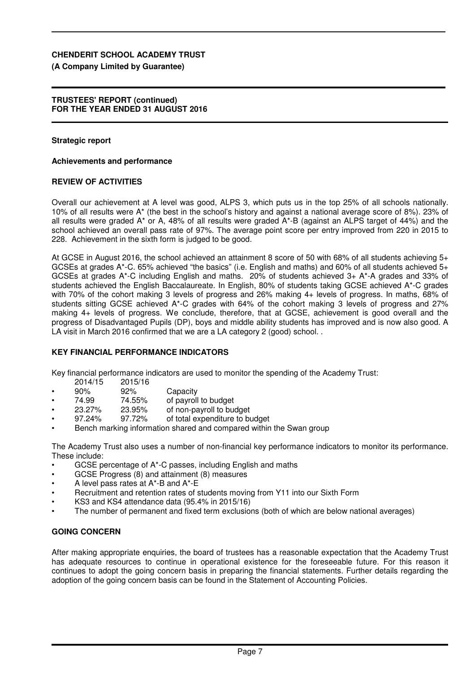### **(A Company Limited by Guarantee)**

### **TRUSTEES' REPORT (continued) FOR THE YEAR ENDED 31 AUGUST 2016**

### **Strategic report**

### **Achievements and performance**

### **REVIEW OF ACTIVITIES**

Overall our achievement at A level was good, ALPS 3, which puts us in the top 25% of all schools nationally. 10% of all results were A\* (the best in the school's history and against a national average score of 8%). 23% of all results were graded A\* or A, 48% of all results were graded A\*-B (against an ALPS target of 44%) and the school achieved an overall pass rate of 97%. The average point score per entry improved from 220 in 2015 to 228. Achievement in the sixth form is judged to be good.

At GCSE in August 2016, the school achieved an attainment 8 score of 50 with 68% of all students achieving 5+ GCSEs at grades A\*-C. 65% achieved "the basics" (i.e. English and maths) and 60% of all students achieved 5+ GCSEs at grades A\*-C including English and maths. 20% of students achieved 3+ A\*-A grades and 33% of students achieved the English Baccalaureate. In English, 80% of students taking GCSE achieved A\*-C grades with 70% of the cohort making 3 levels of progress and 26% making 4+ levels of progress. In maths, 68% of students sitting GCSE achieved A\*-C grades with 64% of the cohort making 3 levels of progress and 27% making 4+ levels of progress. We conclude, therefore, that at GCSE, achievement is good overall and the progress of Disadvantaged Pupils (DP), boys and middle ability students has improved and is now also good. A LA visit in March 2016 confirmed that we are a LA category 2 (good) school. .

### **KEY FINANCIAL PERFORMANCE INDICATORS**

Key financial performance indicators are used to monitor the spending of the Academy Trust:

- 2014/15 2015/16<br>90% 92%
- 92% Capacity<br>74.55% of payroll
- 74.99 74.55% of payroll to budget<br>23.27% 23.95% of non-payroll to bue
- of non-payroll to budget
- 97.24% 97.72% of total expenditure to budget
- Bench marking information shared and compared within the Swan group

The Academy Trust also uses a number of non-financial key performance indicators to monitor its performance. These include:

- GCSE percentage of A\*-C passes, including English and maths
- GCSE Progress (8) and attainment (8) measures
- A level pass rates at A\*-B and A\*-E
- Recruitment and retention rates of students moving from Y11 into our Sixth Form
- KS3 and KS4 attendance data (95.4% in 2015/16)
- The number of permanent and fixed term exclusions (both of which are below national averages)

### **GOING CONCERN**

After making appropriate enquiries, the board of trustees has a reasonable expectation that the Academy Trust has adequate resources to continue in operational existence for the foreseeable future. For this reason it continues to adopt the going concern basis in preparing the financial statements. Further details regarding the adoption of the going concern basis can be found in the Statement of Accounting Policies.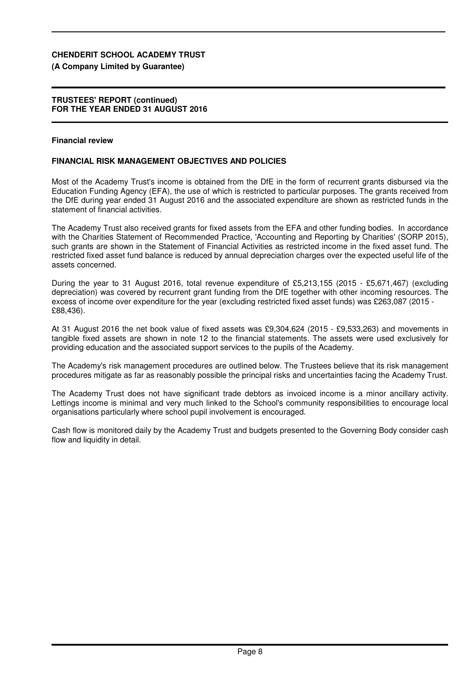### **(A Company Limited by Guarantee)**

### **TRUSTEES' REPORT (continued) FOR THE YEAR ENDED 31 AUGUST 2016**

#### **Financial review**

### **FINANCIAL RISK MANAGEMENT OBJECTIVES AND POLICIES**

Most of the Academy Trust's income is obtained from the DfE in the form of recurrent grants disbursed via the Education Funding Agency (EFA), the use of which is restricted to particular purposes. The grants received from the DfE during year ended 31 August 2016 and the associated expenditure are shown as restricted funds in the statement of financial activities.

The Academy Trust also received grants for fixed assets from the EFA and other funding bodies. In accordance with the Charities Statement of Recommended Practice, 'Accounting and Reporting by Charities' (SORP 2015), such grants are shown in the Statement of Financial Activities as restricted income in the fixed asset fund. The restricted fixed asset fund balance is reduced by annual depreciation charges over the expected useful life of the assets concerned.

During the year to 31 August 2016, total revenue expenditure of £5,213,155 (2015 - £5,671,467) (excluding depreciation) was covered by recurrent grant funding from the DfE together with other incoming resources. The excess of income over expenditure for the year (excluding restricted fixed asset funds) was £263,087 (2015 - £88,436).

At 31 August 2016 the net book value of fixed assets was £9,304,624 (2015 - £9,533,263) and movements in tangible fixed assets are shown in note 12 to the financial statements. The assets were used exclusively for providing education and the associated support services to the pupils of the Academy.

The Academy's risk management procedures are outlined below. The Trustees believe that its risk management procedures mitigate as far as reasonably possible the principal risks and uncertainties facing the Academy Trust.

The Academy Trust does not have significant trade debtors as invoiced income is a minor ancillary activity. Lettings income is minimal and very much linked to the School's community responsibilities to encourage local organisations particularly where school pupil involvement is encouraged.

Cash flow is monitored daily by the Academy Trust and budgets presented to the Governing Body consider cash flow and liquidity in detail.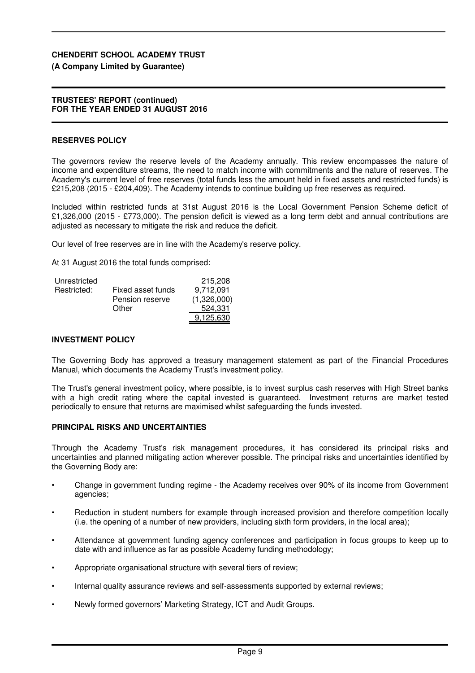### **(A Company Limited by Guarantee)**

#### **TRUSTEES' REPORT (continued) FOR THE YEAR ENDED 31 AUGUST 2016**

### **RESERVES POLICY**

The governors review the reserve levels of the Academy annually. This review encompasses the nature of income and expenditure streams, the need to match income with commitments and the nature of reserves. The Academy's current level of free reserves (total funds less the amount held in fixed assets and restricted funds) is £215,208 (2015 - £204,409). The Academy intends to continue building up free reserves as required.

Included within restricted funds at 31st August 2016 is the Local Government Pension Scheme deficit of £1,326,000 (2015 - £773,000). The pension deficit is viewed as a long term debt and annual contributions are adjusted as necessary to mitigate the risk and reduce the deficit.

Our level of free reserves are in line with the Academy's reserve policy.

At 31 August 2016 the total funds comprised:

| Unrestricted |                   | 215,208     |
|--------------|-------------------|-------------|
| Restricted:  | Fixed asset funds | 9.712.091   |
|              | Pension reserve   | (1,326,000) |
|              | Other             | 524.331     |
|              |                   | 9,125,630   |

### **INVESTMENT POLICY**

The Governing Body has approved a treasury management statement as part of the Financial Procedures Manual, which documents the Academy Trust's investment policy.

The Trust's general investment policy, where possible, is to invest surplus cash reserves with High Street banks with a high credit rating where the capital invested is guaranteed. Investment returns are market tested periodically to ensure that returns are maximised whilst safeguarding the funds invested.

#### **PRINCIPAL RISKS AND UNCERTAINTIES**

Through the Academy Trust's risk management procedures, it has considered its principal risks and uncertainties and planned mitigating action wherever possible. The principal risks and uncertainties identified by the Governing Body are:

- Change in government funding regime the Academy receives over 90% of its income from Government agencies;
- Reduction in student numbers for example through increased provision and therefore competition locally (i.e. the opening of a number of new providers, including sixth form providers, in the local area);
- Attendance at government funding agency conferences and participation in focus groups to keep up to date with and influence as far as possible Academy funding methodology;
- Appropriate organisational structure with several tiers of review;
- Internal quality assurance reviews and self-assessments supported by external reviews;
- Newly formed governors' Marketing Strategy, ICT and Audit Groups.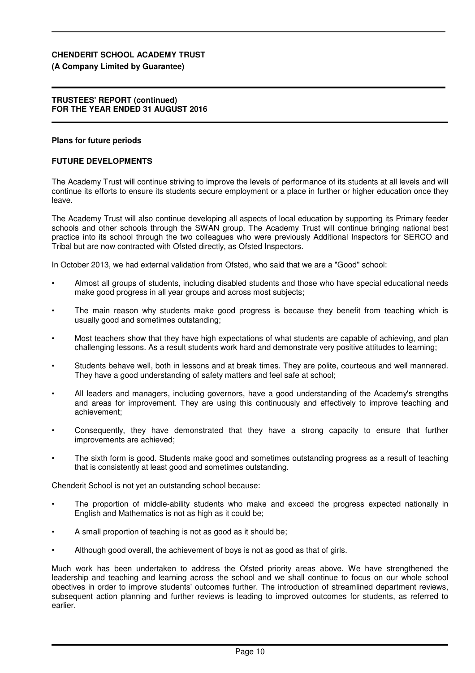### **(A Company Limited by Guarantee)**

#### **TRUSTEES' REPORT (continued) FOR THE YEAR ENDED 31 AUGUST 2016**

### **Plans for future periods**

### **FUTURE DEVELOPMENTS**

The Academy Trust will continue striving to improve the levels of performance of its students at all levels and will continue its efforts to ensure its students secure employment or a place in further or higher education once they leave.

The Academy Trust will also continue developing all aspects of local education by supporting its Primary feeder schools and other schools through the SWAN group. The Academy Trust will continue bringing national best practice into its school through the two colleagues who were previously Additional Inspectors for SERCO and Tribal but are now contracted with Ofsted directly, as Ofsted Inspectors.

In October 2013, we had external validation from Ofsted, who said that we are a "Good" school:

- Almost all groups of students, including disabled students and those who have special educational needs make good progress in all year groups and across most subjects;
- The main reason why students make good progress is because they benefit from teaching which is usually good and sometimes outstanding;
- Most teachers show that they have high expectations of what students are capable of achieving, and plan challenging lessons. As a result students work hard and demonstrate very positive attitudes to learning;
- Students behave well, both in lessons and at break times. They are polite, courteous and well mannered. They have a good understanding of safety matters and feel safe at school;
- All leaders and managers, including governors, have a good understanding of the Academy's strengths and areas for improvement. They are using this continuously and effectively to improve teaching and achievement;
- Consequently, they have demonstrated that they have a strong capacity to ensure that further improvements are achieved;
- The sixth form is good. Students make good and sometimes outstanding progress as a result of teaching that is consistently at least good and sometimes outstanding.

Chenderit School is not yet an outstanding school because:

- The proportion of middle-ability students who make and exceed the progress expected nationally in English and Mathematics is not as high as it could be;
- A small proportion of teaching is not as good as it should be;
- Although good overall, the achievement of boys is not as good as that of girls.

Much work has been undertaken to address the Ofsted priority areas above. We have strengthened the leadership and teaching and learning across the school and we shall continue to focus on our whole school obectives in order to improve students' outcomes further. The introduction of streamlined department reviews, subsequent action planning and further reviews is leading to improved outcomes for students, as referred to earlier.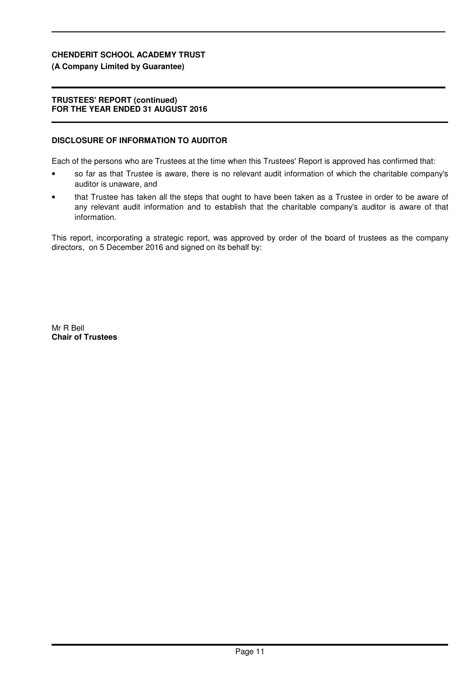## **(A Company Limited by Guarantee)**

### **TRUSTEES' REPORT (continued) FOR THE YEAR ENDED 31 AUGUST 2016**

### **DISCLOSURE OF INFORMATION TO AUDITOR**

Each of the persons who are Trustees at the time when this Trustees' Report is approved has confirmed that:

- so far as that Trustee is aware, there is no relevant audit information of which the charitable company's auditor is unaware, and
- that Trustee has taken all the steps that ought to have been taken as a Trustee in order to be aware of any relevant audit information and to establish that the charitable company's auditor is aware of that information.

This report, incorporating a strategic report, was approved by order of the board of trustees as the company directors, on 5 December 2016 and signed on its behalf by:

Mr R Bell **Chair of Trustees**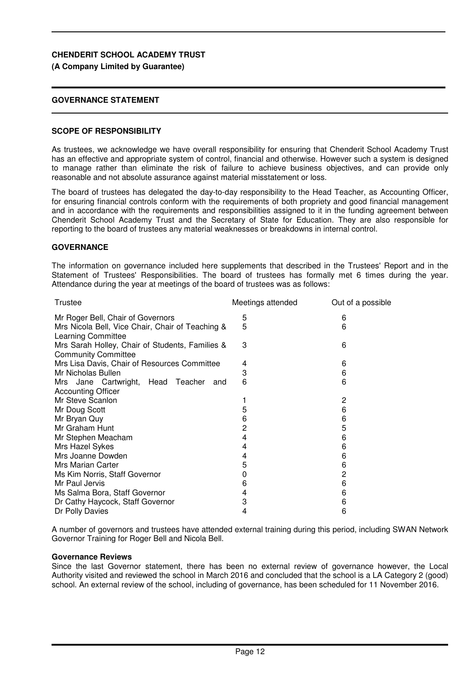### **(A Company Limited by Guarantee)**

## **GOVERNANCE STATEMENT**

### **SCOPE OF RESPONSIBILITY**

As trustees, we acknowledge we have overall responsibility for ensuring that Chenderit School Academy Trust has an effective and appropriate system of control, financial and otherwise. However such a system is designed to manage rather than eliminate the risk of failure to achieve business objectives, and can provide only reasonable and not absolute assurance against material misstatement or loss.

The board of trustees has delegated the day-to-day responsibility to the Head Teacher, as Accounting Officer, for ensuring financial controls conform with the requirements of both propriety and good financial management and in accordance with the requirements and responsibilities assigned to it in the funding agreement between Chenderit School Academy Trust and the Secretary of State for Education. They are also responsible for reporting to the board of trustees any material weaknesses or breakdowns in internal control.

### **GOVERNANCE**

The information on governance included here supplements that described in the Trustees' Report and in the Statement of Trustees' Responsibilities. The board of trustees has formally met 6 times during the year. Attendance during the year at meetings of the board of trustees was as follows:

| Trustee                                                                       | Meetings attended | Out of a possible |
|-------------------------------------------------------------------------------|-------------------|-------------------|
| Mr Roger Bell, Chair of Governors                                             | 5                 | 6                 |
| Mrs Nicola Bell, Vice Chair, Chair of Teaching &<br>Learning Committee        | 5                 | 6                 |
| Mrs Sarah Holley, Chair of Students, Families &<br><b>Community Committee</b> | 3                 | 6                 |
| Mrs Lisa Davis, Chair of Resources Committee                                  | 4                 | 6                 |
| Mr Nicholas Bullen                                                            | 3                 | 6                 |
| Mrs Jane Cartwright, Head Teacher<br>and                                      | 6                 | 6                 |
| <b>Accounting Officer</b>                                                     |                   |                   |
| Mr Steve Scanlon                                                              |                   | 2                 |
| Mr Doug Scott                                                                 | 5                 | 6                 |
| Mr Bryan Quy                                                                  | 6                 | 6                 |
| Mr Graham Hunt                                                                | 2                 | 5                 |
| Mr Stephen Meacham                                                            | 4                 | 6                 |
| Mrs Hazel Sykes                                                               | 4                 | 6                 |
| Mrs Joanne Dowden                                                             | 4                 | 6                 |
| Mrs Marian Carter                                                             | 5                 | 6                 |
| Ms Kim Norris, Staff Governor                                                 | 0                 | 2                 |
| Mr Paul Jervis                                                                | 6                 | 6                 |
| Ms Salma Bora, Staff Governor                                                 | 4                 | 6                 |
| Dr Cathy Haycock, Staff Governor                                              | 3                 | 6                 |
| Dr Polly Davies                                                               | 4                 | 6                 |

A number of governors and trustees have attended external training during this period, including SWAN Network Governor Training for Roger Bell and Nicola Bell.

#### **Governance Reviews**

Since the last Governor statement, there has been no external review of governance however, the Local Authority visited and reviewed the school in March 2016 and concluded that the school is a LA Category 2 (good) school. An external review of the school, including of governance, has been scheduled for 11 November 2016.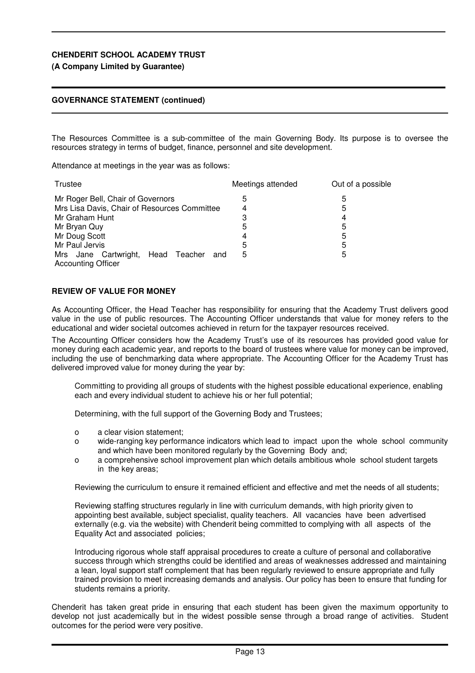## **(A Company Limited by Guarantee)**

## **GOVERNANCE STATEMENT (continued)**

The Resources Committee is a sub-committee of the main Governing Body. Its purpose is to oversee the resources strategy in terms of budget, finance, personnel and site development.

Attendance at meetings in the year was as follows:

| Trustee                                      | Meetings attended | Out of a possible |
|----------------------------------------------|-------------------|-------------------|
| Mr Roger Bell, Chair of Governors            | 5                 | 5                 |
| Mrs Lisa Davis, Chair of Resources Committee | 4                 | 5                 |
| Mr Graham Hunt                               | 3                 | 4                 |
| Mr Bryan Quy                                 | 5                 | 5                 |
| Mr Doug Scott                                | 4                 | 5                 |
| Mr Paul Jervis                               | 5                 | 5                 |
| Mrs Jane Cartwright, Head Teacher<br>and     | 5                 | 5                 |
| <b>Accounting Officer</b>                    |                   |                   |

## **REVIEW OF VALUE FOR MONEY**

As Accounting Officer, the Head Teacher has responsibility for ensuring that the Academy Trust delivers good value in the use of public resources. The Accounting Officer understands that value for money refers to the educational and wider societal outcomes achieved in return for the taxpayer resources received.

The Accounting Officer considers how the Academy Trust's use of its resources has provided good value for money during each academic year, and reports to the board of trustees where value for money can be improved, including the use of benchmarking data where appropriate. The Accounting Officer for the Academy Trust has delivered improved value for money during the year by:

Committing to providing all groups of students with the highest possible educational experience, enabling each and every individual student to achieve his or her full potential;

Determining, with the full support of the Governing Body and Trustees;

- o a clear vision statement;
- o wide-ranging key performance indicators which lead to impact upon the whole school community and which have been monitored regularly by the Governing Body and;
- o a comprehensive school improvement plan which details ambitious whole school student targets in the key areas;

Reviewing the curriculum to ensure it remained efficient and effective and met the needs of all students;

Reviewing staffing structures regularly in line with curriculum demands, with high priority given to appointing best available, subject specialist, quality teachers. All vacancies have been advertised externally (e.g. via the website) with Chenderit being committed to complying with all aspects of the Equality Act and associated policies;

Introducing rigorous whole staff appraisal procedures to create a culture of personal and collaborative success through which strengths could be identified and areas of weaknesses addressed and maintaining a lean, loyal support staff complement that has been regularly reviewed to ensure appropriate and fully trained provision to meet increasing demands and analysis. Our policy has been to ensure that funding for students remains a priority.

Chenderit has taken great pride in ensuring that each student has been given the maximum opportunity to develop not just academically but in the widest possible sense through a broad range of activities. Student outcomes for the period were very positive.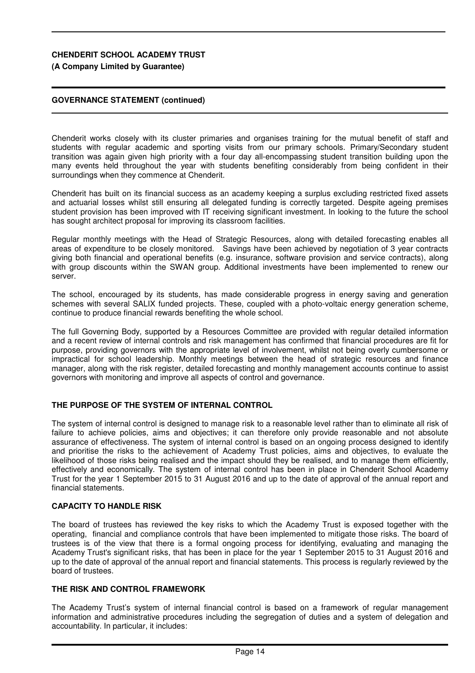## **(A Company Limited by Guarantee)**

## **GOVERNANCE STATEMENT (continued)**

Chenderit works closely with its cluster primaries and organises training for the mutual benefit of staff and students with regular academic and sporting visits from our primary schools. Primary/Secondary student transition was again given high priority with a four day all-encompassing student transition building upon the many events held throughout the year with students benefiting considerably from being confident in their surroundings when they commence at Chenderit.

Chenderit has built on its financial success as an academy keeping a surplus excluding restricted fixed assets and actuarial losses whilst still ensuring all delegated funding is correctly targeted. Despite ageing premises student provision has been improved with IT receiving significant investment. In looking to the future the school has sought architect proposal for improving its classroom facilities.

Regular monthly meetings with the Head of Strategic Resources, along with detailed forecasting enables all areas of expenditure to be closely monitored. Savings have been achieved by negotiation of 3 year contracts giving both financial and operational benefits (e.g. insurance, software provision and service contracts), along with group discounts within the SWAN group. Additional investments have been implemented to renew our server.

The school, encouraged by its students, has made considerable progress in energy saving and generation schemes with several SALIX funded projects. These, coupled with a photo-voltaic energy generation scheme, continue to produce financial rewards benefiting the whole school.

The full Governing Body, supported by a Resources Committee are provided with regular detailed information and a recent review of internal controls and risk management has confirmed that financial procedures are fit for purpose, providing governors with the appropriate level of involvement, whilst not being overly cumbersome or impractical for school leadership. Monthly meetings between the head of strategic resources and finance manager, along with the risk register, detailed forecasting and monthly management accounts continue to assist governors with monitoring and improve all aspects of control and governance.

## **THE PURPOSE OF THE SYSTEM OF INTERNAL CONTROL**

The system of internal control is designed to manage risk to a reasonable level rather than to eliminate all risk of failure to achieve policies, aims and objectives; it can therefore only provide reasonable and not absolute assurance of effectiveness. The system of internal control is based on an ongoing process designed to identify and prioritise the risks to the achievement of Academy Trust policies, aims and objectives, to evaluate the likelihood of those risks being realised and the impact should they be realised, and to manage them efficiently, effectively and economically. The system of internal control has been in place in Chenderit School Academy Trust for the year 1 September 2015 to 31 August 2016 and up to the date of approval of the annual report and financial statements.

### **CAPACITY TO HANDLE RISK**

The board of trustees has reviewed the key risks to which the Academy Trust is exposed together with the operating, financial and compliance controls that have been implemented to mitigate those risks. The board of trustees is of the view that there is a formal ongoing process for identifying, evaluating and managing the Academy Trust's significant risks, that has been in place for the year 1 September 2015 to 31 August 2016 and up to the date of approval of the annual report and financial statements. This process is regularly reviewed by the board of trustees.

### **THE RISK AND CONTROL FRAMEWORK**

The Academy Trust's system of internal financial control is based on a framework of regular management information and administrative procedures including the segregation of duties and a system of delegation and accountability. In particular, it includes: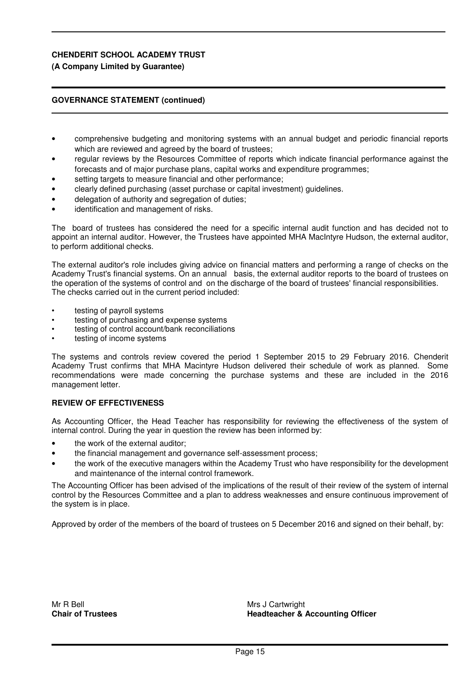## **(A Company Limited by Guarantee)**

### **GOVERNANCE STATEMENT (continued)**

- comprehensive budgeting and monitoring systems with an annual budget and periodic financial reports which are reviewed and agreed by the board of trustees;
- regular reviews by the Resources Committee of reports which indicate financial performance against the forecasts and of major purchase plans, capital works and expenditure programmes;
- setting targets to measure financial and other performance;
- clearly defined purchasing (asset purchase or capital investment) guidelines.
- delegation of authority and segregation of duties;
- identification and management of risks.

The board of trustees has considered the need for a specific internal audit function and has decided not to appoint an internal auditor. However, the Trustees have appointed MHA MacIntyre Hudson, the external auditor, to perform additional checks.

The external auditor's role includes giving advice on financial matters and performing a range of checks on the Academy Trust's financial systems. On an annual basis, the external auditor reports to the board of trustees on the operation of the systems of control and on the discharge of the board of trustees' financial responsibilities. The checks carried out in the current period included:

- testing of payroll systems
- testing of purchasing and expense systems
- testing of control account/bank reconciliations
- testing of income systems

The systems and controls review covered the period 1 September 2015 to 29 February 2016. Chenderit Academy Trust confirms that MHA Macintyre Hudson delivered their schedule of work as planned. Some recommendations were made concerning the purchase systems and these are included in the 2016 management letter.

### **REVIEW OF EFFECTIVENESS**

As Accounting Officer, the Head Teacher has responsibility for reviewing the effectiveness of the system of internal control. During the year in question the review has been informed by:

- the work of the external auditor:
- the financial management and governance self-assessment process;
- the work of the executive managers within the Academy Trust who have responsibility for the development and maintenance of the internal control framework.

The Accounting Officer has been advised of the implications of the result of their review of the system of internal control by the Resources Committee and a plan to address weaknesses and ensure continuous improvement of the system is in place.

Approved by order of the members of the board of trustees on 5 December 2016 and signed on their behalf, by:

Mr R Bell **Chair of Trustees** Mrs J Cartwright **Headteacher & Accounting Officer**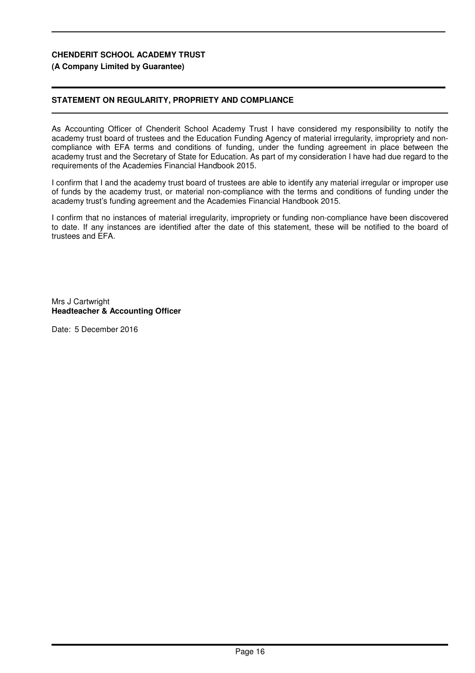## **(A Company Limited by Guarantee)**

## **STATEMENT ON REGULARITY, PROPRIETY AND COMPLIANCE**

As Accounting Officer of Chenderit School Academy Trust I have considered my responsibility to notify the academy trust board of trustees and the Education Funding Agency of material irregularity, impropriety and noncompliance with EFA terms and conditions of funding, under the funding agreement in place between the academy trust and the Secretary of State for Education. As part of my consideration I have had due regard to the requirements of the Academies Financial Handbook 2015.

I confirm that I and the academy trust board of trustees are able to identify any material irregular or improper use of funds by the academy trust, or material non-compliance with the terms and conditions of funding under the academy trust's funding agreement and the Academies Financial Handbook 2015.

I confirm that no instances of material irregularity, impropriety or funding non-compliance have been discovered to date. If any instances are identified after the date of this statement, these will be notified to the board of trustees and EFA.

Mrs J Cartwright **Headteacher & Accounting Officer**

Date: 5 December 2016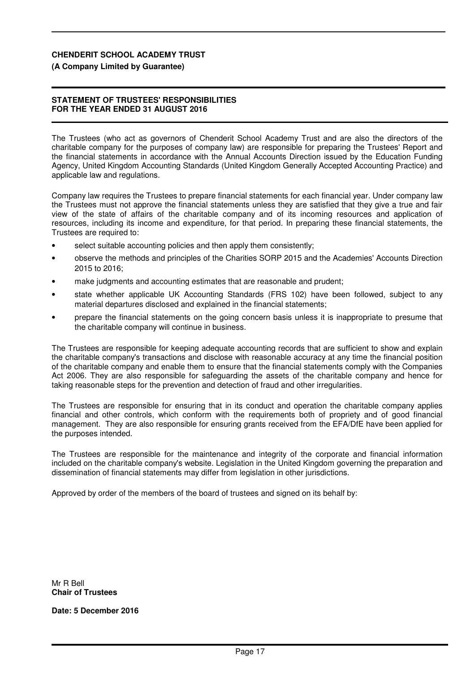### **(A Company Limited by Guarantee)**

### **STATEMENT OF TRUSTEES' RESPONSIBILITIES FOR THE YEAR ENDED 31 AUGUST 2016**

The Trustees (who act as governors of Chenderit School Academy Trust and are also the directors of the charitable company for the purposes of company law) are responsible for preparing the Trustees' Report and the financial statements in accordance with the Annual Accounts Direction issued by the Education Funding Agency, United Kingdom Accounting Standards (United Kingdom Generally Accepted Accounting Practice) and applicable law and regulations.

Company law requires the Trustees to prepare financial statements for each financial year. Under company law the Trustees must not approve the financial statements unless they are satisfied that they give a true and fair view of the state of affairs of the charitable company and of its incoming resources and application of resources, including its income and expenditure, for that period. In preparing these financial statements, the Trustees are required to:

- select suitable accounting policies and then apply them consistently;
- observe the methods and principles of the Charities SORP 2015 and the Academies' Accounts Direction 2015 to 2016;
- make judgments and accounting estimates that are reasonable and prudent;
- state whether applicable UK Accounting Standards (FRS 102) have been followed, subject to any material departures disclosed and explained in the financial statements;
- prepare the financial statements on the going concern basis unless it is inappropriate to presume that the charitable company will continue in business.

The Trustees are responsible for keeping adequate accounting records that are sufficient to show and explain the charitable company's transactions and disclose with reasonable accuracy at any time the financial position of the charitable company and enable them to ensure that the financial statements comply with the Companies Act 2006. They are also responsible for safeguarding the assets of the charitable company and hence for taking reasonable steps for the prevention and detection of fraud and other irregularities.

The Trustees are responsible for ensuring that in its conduct and operation the charitable company applies financial and other controls, which conform with the requirements both of propriety and of good financial management. They are also responsible for ensuring grants received from the EFA/DfE have been applied for the purposes intended.

The Trustees are responsible for the maintenance and integrity of the corporate and financial information included on the charitable company's website. Legislation in the United Kingdom governing the preparation and dissemination of financial statements may differ from legislation in other jurisdictions.

Approved by order of the members of the board of trustees and signed on its behalf by:

Mr R Bell **Chair of Trustees**

**Date: 5 December 2016**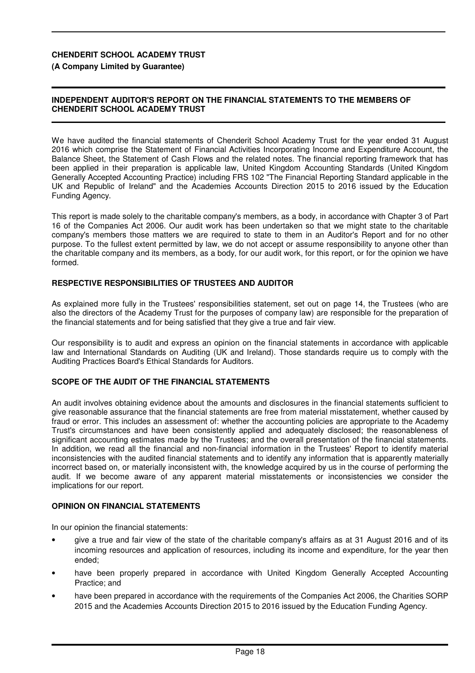### **(A Company Limited by Guarantee)**

### **INDEPENDENT AUDITOR'S REPORT ON THE FINANCIAL STATEMENTS TO THE MEMBERS OF CHENDERIT SCHOOL ACADEMY TRUST**

We have audited the financial statements of Chenderit School Academy Trust for the year ended 31 August 2016 which comprise the Statement of Financial Activities Incorporating Income and Expenditure Account, the Balance Sheet, the Statement of Cash Flows and the related notes. The financial reporting framework that has been applied in their preparation is applicable law, United Kingdom Accounting Standards (United Kingdom Generally Accepted Accounting Practice) including FRS 102 "The Financial Reporting Standard applicable in the UK and Republic of Ireland" and the Academies Accounts Direction 2015 to 2016 issued by the Education Funding Agency.

This report is made solely to the charitable company's members, as a body, in accordance with Chapter 3 of Part 16 of the Companies Act 2006. Our audit work has been undertaken so that we might state to the charitable company's members those matters we are required to state to them in an Auditor's Report and for no other purpose. To the fullest extent permitted by law, we do not accept or assume responsibility to anyone other than the charitable company and its members, as a body, for our audit work, for this report, or for the opinion we have formed.

### **RESPECTIVE RESPONSIBILITIES OF TRUSTEES AND AUDITOR**

As explained more fully in the Trustees' responsibilities statement, set out on page 14, the Trustees (who are also the directors of the Academy Trust for the purposes of company law) are responsible for the preparation of the financial statements and for being satisfied that they give a true and fair view.

Our responsibility is to audit and express an opinion on the financial statements in accordance with applicable law and International Standards on Auditing (UK and Ireland). Those standards require us to comply with the Auditing Practices Board's Ethical Standards for Auditors.

### **SCOPE OF THE AUDIT OF THE FINANCIAL STATEMENTS**

An audit involves obtaining evidence about the amounts and disclosures in the financial statements sufficient to give reasonable assurance that the financial statements are free from material misstatement, whether caused by fraud or error. This includes an assessment of: whether the accounting policies are appropriate to the Academy Trust's circumstances and have been consistently applied and adequately disclosed; the reasonableness of significant accounting estimates made by the Trustees; and the overall presentation of the financial statements. In addition, we read all the financial and non-financial information in the Trustees' Report to identify material inconsistencies with the audited financial statements and to identify any information that is apparently materially incorrect based on, or materially inconsistent with, the knowledge acquired by us in the course of performing the audit. If we become aware of any apparent material misstatements or inconsistencies we consider the implications for our report.

### **OPINION ON FINANCIAL STATEMENTS**

In our opinion the financial statements:

- give a true and fair view of the state of the charitable company's affairs as at 31 August 2016 and of its incoming resources and application of resources, including its income and expenditure, for the year then ended;
- have been properly prepared in accordance with United Kingdom Generally Accepted Accounting Practice; and
- have been prepared in accordance with the requirements of the Companies Act 2006, the Charities SORP 2015 and the Academies Accounts Direction 2015 to 2016 issued by the Education Funding Agency.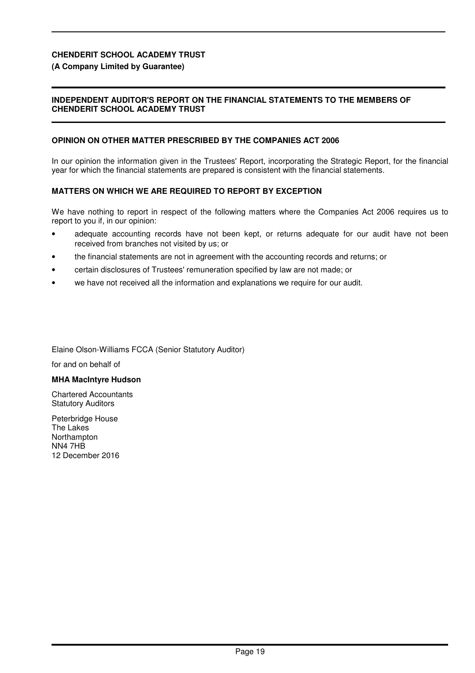### **(A Company Limited by Guarantee)**

### **INDEPENDENT AUDITOR'S REPORT ON THE FINANCIAL STATEMENTS TO THE MEMBERS OF CHENDERIT SCHOOL ACADEMY TRUST**

### **OPINION ON OTHER MATTER PRESCRIBED BY THE COMPANIES ACT 2006**

In our opinion the information given in the Trustees' Report, incorporating the Strategic Report, for the financial year for which the financial statements are prepared is consistent with the financial statements.

#### **MATTERS ON WHICH WE ARE REQUIRED TO REPORT BY EXCEPTION**

We have nothing to report in respect of the following matters where the Companies Act 2006 requires us to report to you if, in our opinion:

- adequate accounting records have not been kept, or returns adequate for our audit have not been received from branches not visited by us; or
- the financial statements are not in agreement with the accounting records and returns; or
- certain disclosures of Trustees' remuneration specified by law are not made; or Ī
- we have not received all the information and explanations we require for our audit.

Elaine Olson-Williams FCCA (Senior Statutory Auditor)

for and on behalf of İ

#### **MHA MacIntyre Hudson**

Chartered Accountants Statutory Auditors

Peterbridge House The Lakes Northampton NN4 7HB 12 December 2016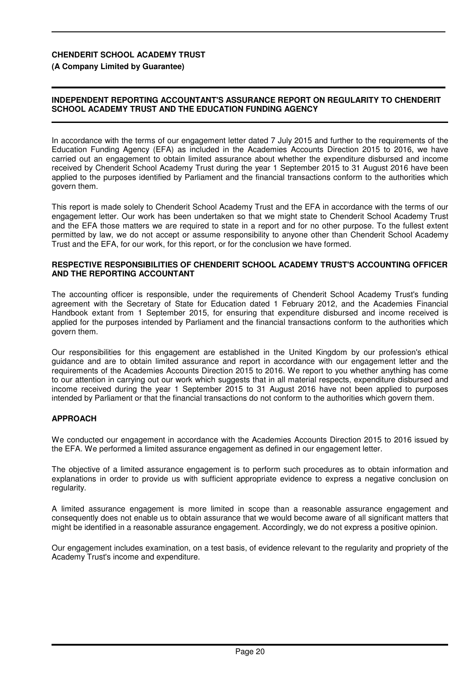**(A Company Limited by Guarantee)**

### **INDEPENDENT REPORTING ACCOUNTANT'S ASSURANCE REPORT ON REGULARITY TO CHENDERIT SCHOOL ACADEMY TRUST AND THE EDUCATION FUNDING AGENCY**

In accordance with the terms of our engagement letter dated 7 July 2015 and further to the requirements of the Education Funding Agency (EFA) as included in the Academies Accounts Direction 2015 to 2016, we have carried out an engagement to obtain limited assurance about whether the expenditure disbursed and income received by Chenderit School Academy Trust during the year 1 September 2015 to 31 August 2016 have been applied to the purposes identified by Parliament and the financial transactions conform to the authorities which govern them.

This report is made solely to Chenderit School Academy Trust and the EFA in accordance with the terms of our engagement letter. Our work has been undertaken so that we might state to Chenderit School Academy Trust and the EFA those matters we are required to state in a report and for no other purpose. To the fullest extent permitted by law, we do not accept or assume responsibility to anyone other than Chenderit School Academy Trust and the EFA, for our work, for this report, or for the conclusion we have formed.

### **RESPECTIVE RESPONSIBILITIES OF CHENDERIT SCHOOL ACADEMY TRUST'S ACCOUNTING OFFICER AND THE REPORTING ACCOUNTANT**

The accounting officer is responsible, under the requirements of Chenderit School Academy Trust's funding agreement with the Secretary of State for Education dated 1 February 2012, and the Academies Financial Handbook extant from 1 September 2015, for ensuring that expenditure disbursed and income received is applied for the purposes intended by Parliament and the financial transactions conform to the authorities which govern them.

Our responsibilities for this engagement are established in the United Kingdom by our profession's ethical guidance and are to obtain limited assurance and report in accordance with our engagement letter and the requirements of the Academies Accounts Direction 2015 to 2016. We report to you whether anything has come to our attention in carrying out our work which suggests that in all material respects, expenditure disbursed and income received during the year 1 September 2015 to 31 August 2016 have not been applied to purposes intended by Parliament or that the financial transactions do not conform to the authorities which govern them.

## **APPROACH**

We conducted our engagement in accordance with the Academies Accounts Direction 2015 to 2016 issued by the EFA. We performed a limited assurance engagement as defined in our engagement letter.

The objective of a limited assurance engagement is to perform such procedures as to obtain information and explanations in order to provide us with sufficient appropriate evidence to express a negative conclusion on regularity.

A limited assurance engagement is more limited in scope than a reasonable assurance engagement and consequently does not enable us to obtain assurance that we would become aware of all significant matters that might be identified in a reasonable assurance engagement. Accordingly, we do not express a positive opinion.

Our engagement includes examination, on a test basis, of evidence relevant to the regularity and propriety of the Academy Trust's income and expenditure.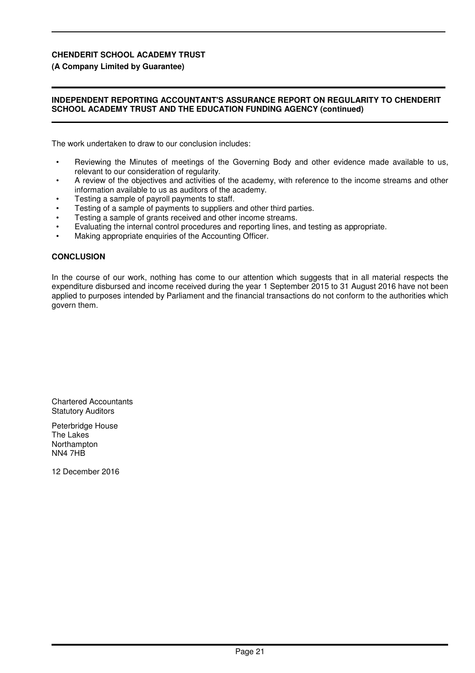### **(A Company Limited by Guarantee)**

### **INDEPENDENT REPORTING ACCOUNTANT'S ASSURANCE REPORT ON REGULARITY TO CHENDERIT SCHOOL ACADEMY TRUST AND THE EDUCATION FUNDING AGENCY (continued)**

The work undertaken to draw to our conclusion includes:

- Reviewing the Minutes of meetings of the Governing Body and other evidence made available to us, relevant to our consideration of regularity.
- A review of the objectives and activities of the academy, with reference to the income streams and other information available to us as auditors of the academy.
- Testing a sample of payroll payments to staff.
- Testing of a sample of payments to suppliers and other third parties.
- Testing a sample of grants received and other income streams.
- Evaluating the internal control procedures and reporting lines, and testing as appropriate.
- Making appropriate enquiries of the Accounting Officer.

### **CONCLUSION**

In the course of our work, nothing has come to our attention which suggests that in all material respects the expenditure disbursed and income received during the year 1 September 2015 to 31 August 2016 have not been applied to purposes intended by Parliament and the financial transactions do not conform to the authorities which govern them.

Chartered Accountants Statutory Auditors

Peterbridge House The Lakes Northampton NN4 7HB

12 December 2016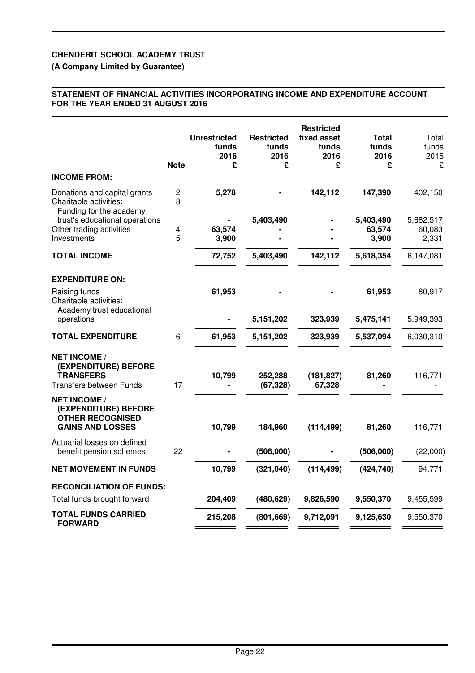## **(A Company Limited by Guarantee)**

### **STATEMENT OF FINANCIAL ACTIVITIES INCORPORATING INCOME AND EXPENDITURE ACCOUNT FOR THE YEAR ENDED 31 AUGUST 2016**

|                                                                                                   | <b>Note</b>                  | <b>Unrestricted</b><br>funds<br>2016<br>£ | <b>Restricted</b><br>funds<br>2016<br>£ | <b>Restricted</b><br>fixed asset<br>funds<br>2016<br>£ | <b>Total</b><br>funds<br>2016<br>£ | Total<br>funds<br>2015<br>£  |
|---------------------------------------------------------------------------------------------------|------------------------------|-------------------------------------------|-----------------------------------------|--------------------------------------------------------|------------------------------------|------------------------------|
| <b>INCOME FROM:</b>                                                                               |                              |                                           |                                         |                                                        |                                    |                              |
| Donations and capital grants<br>Charitable activities:<br>Funding for the academy                 | 2<br>3                       | 5,278                                     |                                         | 142,112                                                | 147,390                            | 402,150                      |
| trust's educational operations<br>Other trading activities<br>Investments                         | $\overline{\mathbf{4}}$<br>5 | 63,574<br>3,900                           | 5,403,490                               |                                                        | 5,403,490<br>63,574<br>3,900       | 5,682,517<br>60,083<br>2,331 |
| <b>TOTAL INCOME</b>                                                                               |                              | 72,752                                    | 5,403,490                               | 142,112                                                | 5,618,354                          | 6,147,081                    |
| <b>EXPENDITURE ON:</b>                                                                            |                              |                                           |                                         |                                                        |                                    |                              |
| Raising funds<br>Charitable activities:<br>Academy trust educational                              |                              | 61,953                                    |                                         |                                                        | 61,953                             | 80,917                       |
| operations                                                                                        |                              |                                           | 5,151,202                               | 323,939                                                | 5,475,141                          | 5,949,393                    |
| <b>TOTAL EXPENDITURE</b>                                                                          | 6                            | 61,953                                    | 5,151,202                               | 323,939                                                | 5,537,094                          | 6,030,310                    |
| <b>NET INCOME /</b><br>(EXPENDITURE) BEFORE<br><b>TRANSFERS</b><br><b>Transfers between Funds</b> | 17                           | 10,799                                    | 252,288<br>(67, 328)                    | (181, 827)<br>67,328                                   | 81,260                             | 116,771                      |
| <b>NET INCOME /</b><br>(EXPENDITURE) BEFORE<br><b>OTHER RECOGNISED</b><br><b>GAINS AND LOSSES</b> |                              | 10,799                                    | 184,960                                 | (114, 499)                                             | 81,260                             | 116,771                      |
| Actuarial losses on defined<br>benefit pension schemes                                            | 22                           |                                           | (506,000)                               |                                                        | (506,000)                          | (22,000)                     |
| <b>NET MOVEMENT IN FUNDS</b>                                                                      |                              | 10,799                                    | (321, 040)                              | (114, 499)                                             | (424, 740)                         | 94,771                       |
| <b>RECONCILIATION OF FUNDS:</b><br>Total funds brought forward                                    |                              | 204,409                                   | (480, 629)                              | 9,826,590                                              | 9,550,370                          | 9,455,599                    |
| <b>TOTAL FUNDS CARRIED</b><br><b>FORWARD</b>                                                      |                              | 215,208                                   | (801, 669)                              | 9,712,091                                              | 9,125,630                          | 9,550,370                    |
|                                                                                                   |                              |                                           |                                         |                                                        |                                    |                              |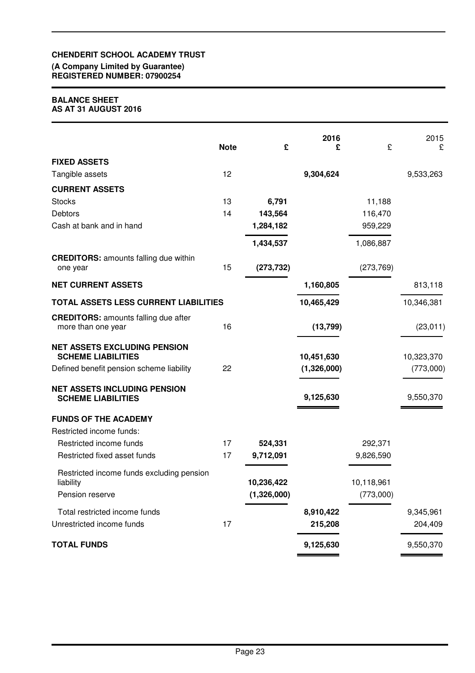#### **(A Company Limited by Guarantee) REGISTERED NUMBER: 07900254**

### **BALANCE SHEET AS AT 31 AUGUST 2016**

|                                                                   | <b>Note</b> | £                         | 2016<br>£   | £                       | 2015<br>£  |
|-------------------------------------------------------------------|-------------|---------------------------|-------------|-------------------------|------------|
| <b>FIXED ASSETS</b>                                               |             |                           |             |                         |            |
| Tangible assets                                                   | 12          |                           | 9,304,624   |                         | 9,533,263  |
| <b>CURRENT ASSETS</b>                                             |             |                           |             |                         |            |
| <b>Stocks</b>                                                     | 13          | 6,791                     |             | 11,188                  |            |
| <b>Debtors</b>                                                    | 14          | 143,564                   |             | 116,470                 |            |
| Cash at bank and in hand                                          |             | 1,284,182                 |             | 959,229                 |            |
|                                                                   |             | 1,434,537                 |             | 1,086,887               |            |
| <b>CREDITORS: amounts falling due within</b><br>one year          | 15          | (273, 732)                |             | (273, 769)              |            |
| <b>NET CURRENT ASSETS</b>                                         |             |                           | 1,160,805   |                         | 813,118    |
| TOTAL ASSETS LESS CURRENT LIABILITIES                             |             |                           | 10,465,429  |                         | 10,346,381 |
| <b>CREDITORS: amounts falling due after</b><br>more than one year | 16          |                           | (13, 799)   |                         | (23, 011)  |
| <b>NET ASSETS EXCLUDING PENSION</b><br><b>SCHEME LIABILITIES</b>  |             |                           | 10,451,630  |                         | 10,323,370 |
| Defined benefit pension scheme liability                          | 22          |                           | (1,326,000) |                         | (773,000)  |
| <b>NET ASSETS INCLUDING PENSION</b><br><b>SCHEME LIABILITIES</b>  |             |                           | 9,125,630   |                         | 9,550,370  |
| <b>FUNDS OF THE ACADEMY</b>                                       |             |                           |             |                         |            |
| Restricted income funds:                                          |             |                           |             |                         |            |
| Restricted income funds                                           | 17          | 524,331                   |             | 292,371                 |            |
| Restricted fixed asset funds                                      | 17          | 9,712,091                 |             | 9,826,590               |            |
| Restricted income funds excluding pension                         |             |                           |             |                         |            |
| liability<br>Pension reserve                                      |             | 10,236,422<br>(1,326,000) |             | 10,118,961<br>(773,000) |            |
| Total restricted income funds                                     |             |                           | 8,910,422   |                         | 9,345,961  |
| Unrestricted income funds                                         | 17          |                           | 215,208     |                         | 204,409    |
| <b>TOTAL FUNDS</b>                                                |             |                           | 9,125,630   |                         | 9,550,370  |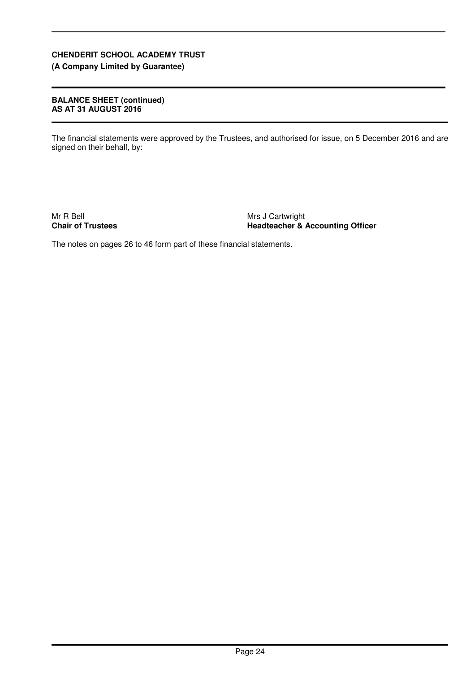**(A Company Limited by Guarantee)**

### **BALANCE SHEET (continued) AS AT 31 AUGUST 2016**

The financial statements were approved by the Trustees, and authorised for issue, on 5 December 2016 and are signed on their behalf, by:

Mr R Bell **Chair of Trustees** Mrs J Cartwright **Headteacher & Accounting Officer**

The notes on pages 26 to 46 form part of these financial statements.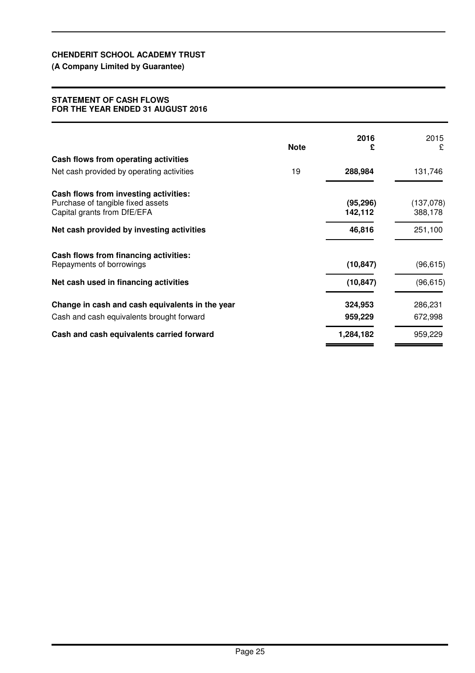## **(A Company Limited by Guarantee)**

### **STATEMENT OF CASH FLOWS FOR THE YEAR ENDED 31 AUGUST 2016**

|                                                                  | <b>Note</b> | 2016<br>£            | 2015<br>£            |
|------------------------------------------------------------------|-------------|----------------------|----------------------|
| Cash flows from operating activities                             |             |                      |                      |
| Net cash provided by operating activities                        | 19          | 288,984              | 131,746              |
| Cash flows from investing activities:                            |             |                      |                      |
| Purchase of tangible fixed assets<br>Capital grants from DfE/EFA |             | (95, 296)<br>142,112 | (137,078)<br>388,178 |
| Net cash provided by investing activities                        |             | 46,816               | 251,100              |
| Cash flows from financing activities:                            |             |                      |                      |
| Repayments of borrowings                                         |             | (10, 847)            | (96, 615)            |
| Net cash used in financing activities                            |             | (10, 847)            | (96, 615)            |
| Change in cash and cash equivalents in the year                  |             | 324,953              | 286,231              |
| Cash and cash equivalents brought forward                        |             | 959,229              | 672,998              |
| Cash and cash equivalents carried forward                        |             | 1,284,182            | 959,229              |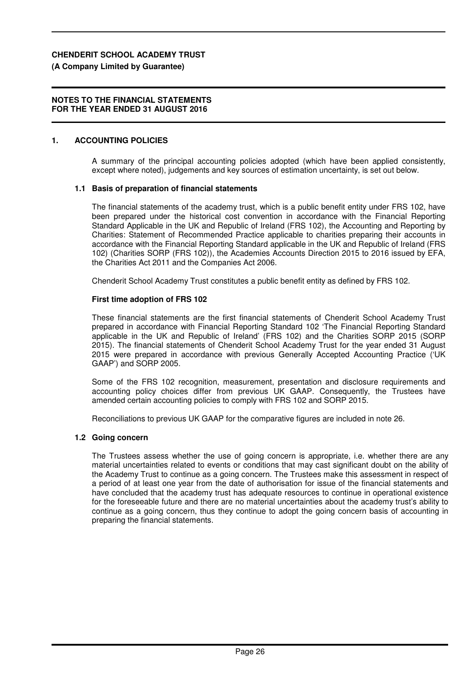### **(A Company Limited by Guarantee)**

### **NOTES TO THE FINANCIAL STATEMENTS FOR THE YEAR ENDED 31 AUGUST 2016**

### **1. ACCOUNTING POLICIES**

A summary of the principal accounting policies adopted (which have been applied consistently, except where noted), judgements and key sources of estimation uncertainty, is set out below.

### **1.1 Basis of preparation of financial statements**

The financial statements of the academy trust, which is a public benefit entity under FRS 102, have been prepared under the historical cost convention in accordance with the Financial Reporting Standard Applicable in the UK and Republic of Ireland (FRS 102), the Accounting and Reporting by Charities: Statement of Recommended Practice applicable to charities preparing their accounts in accordance with the Financial Reporting Standard applicable in the UK and Republic of Ireland (FRS 102) (Charities SORP (FRS 102)), the Academies Accounts Direction 2015 to 2016 issued by EFA, the Charities Act 2011 and the Companies Act 2006.

Chenderit School Academy Trust constitutes a public benefit entity as defined by FRS 102.

### **First time adoption of FRS 102**

These financial statements are the first financial statements of Chenderit School Academy Trust prepared in accordance with Financial Reporting Standard 102 'The Financial Reporting Standard applicable in the UK and Republic of Ireland' (FRS 102) and the Charities SORP 2015 (SORP 2015). The financial statements of Chenderit School Academy Trust for the year ended 31 August 2015 were prepared in accordance with previous Generally Accepted Accounting Practice ('UK GAAP') and SORP 2005.

Some of the FRS 102 recognition, measurement, presentation and disclosure requirements and accounting policy choices differ from previous UK GAAP. Consequently, the Trustees have amended certain accounting policies to comply with FRS 102 and SORP 2015.

Reconciliations to previous UK GAAP for the comparative figures are included in note 26.

#### **1.2 Going concern**

The Trustees assess whether the use of going concern is appropriate, i.e. whether there are any material uncertainties related to events or conditions that may cast significant doubt on the ability of the Academy Trust to continue as a going concern. The Trustees make this assessment in respect of a period of at least one year from the date of authorisation for issue of the financial statements and have concluded that the academy trust has adequate resources to continue in operational existence for the foreseeable future and there are no material uncertainties about the academy trust's ability to continue as a going concern, thus they continue to adopt the going concern basis of accounting in preparing the financial statements.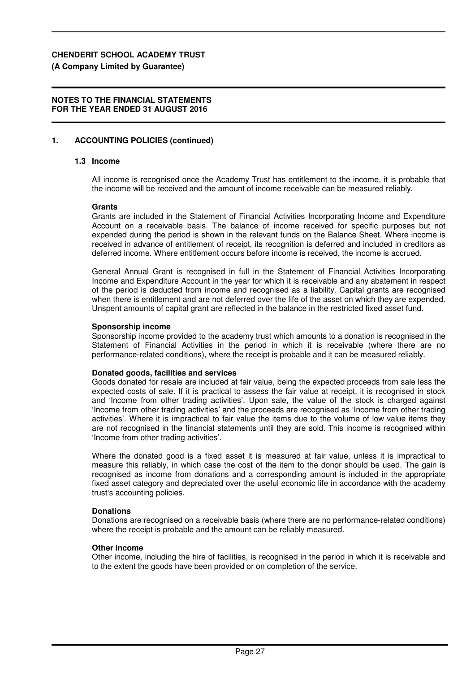**(A Company Limited by Guarantee)**

## **NOTES TO THE FINANCIAL STATEMENTS FOR THE YEAR ENDED 31 AUGUST 2016**

## **1. ACCOUNTING POLICIES (continued)**

## **1.3 Income**

All income is recognised once the Academy Trust has entitlement to the income, it is probable that the income will be received and the amount of income receivable can be measured reliably.

### **Grants**

Grants are included in the Statement of Financial Activities Incorporating Income and Expenditure Account on a receivable basis. The balance of income received for specific purposes but not expended during the period is shown in the relevant funds on the Balance Sheet. Where income is received in advance of entitlement of receipt, its recognition is deferred and included in creditors as deferred income. Where entitlement occurs before income is received, the income is accrued.

General Annual Grant is recognised in full in the Statement of Financial Activities Incorporating Income and Expenditure Account in the year for which it is receivable and any abatement in respect of the period is deducted from income and recognised as a liability. Capital grants are recognised when there is entitlement and are not deferred over the life of the asset on which they are expended. Unspent amounts of capital grant are reflected in the balance in the restricted fixed asset fund.

### **Sponsorship income**

Sponsorship income provided to the academy trust which amounts to a donation is recognised in the Statement of Financial Activities in the period in which it is receivable (where there are no performance-related conditions), where the receipt is probable and it can be measured reliably.

### **Donated goods, facilities and services**

Goods donated for resale are included at fair value, being the expected proceeds from sale less the expected costs of sale. If it is practical to assess the fair value at receipt, it is recognised in stock and 'Income from other trading activities'. Upon sale, the value of the stock is charged against 'Income from other trading activities' and the proceeds are recognised as 'Income from other trading activities'. Where it is impractical to fair value the items due to the volume of low value items they are not recognised in the financial statements until they are sold. This income is recognised within 'Income from other trading activities'.

Where the donated good is a fixed asset it is measured at fair value, unless it is impractical to measure this reliably, in which case the cost of the item to the donor should be used. The gain is recognised as income from donations and a corresponding amount is included in the appropriate fixed asset category and depreciated over the useful economic life in accordance with the academy trust's accounting policies.

### **Donations**

Donations are recognised on a receivable basis (where there are no performance-related conditions) where the receipt is probable and the amount can be reliably measured.

### **Other income**

Other income, including the hire of facilities, is recognised in the period in which it is receivable and to the extent the goods have been provided or on completion of the service.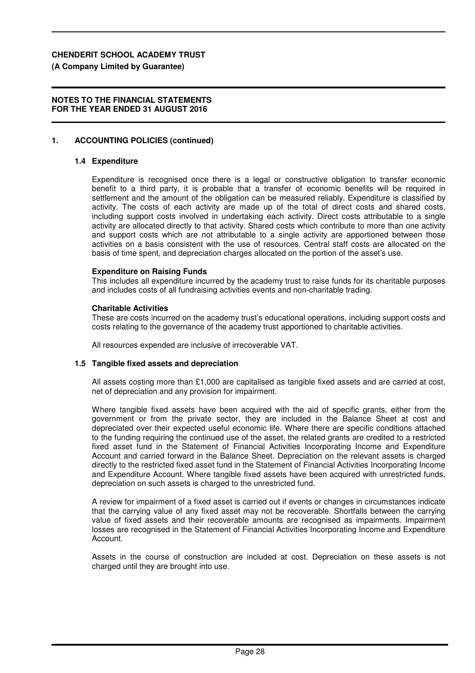### **(A Company Limited by Guarantee)**

### **NOTES TO THE FINANCIAL STATEMENTS FOR THE YEAR ENDED 31 AUGUST 2016**

### **1. ACCOUNTING POLICIES (continued)**

#### **1.4 Expenditure**

Expenditure is recognised once there is a legal or constructive obligation to transfer economic benefit to a third party, it is probable that a transfer of economic benefits will be required in settlement and the amount of the obligation can be measured reliably. Expenditure is classified by activity. The costs of each activity are made up of the total of direct costs and shared costs, including support costs involved in undertaking each activity. Direct costs attributable to a single activity are allocated directly to that activity. Shared costs which contribute to more than one activity and support costs which are not attributable to a single activity are apportioned between those activities on a basis consistent with the use of resources. Central staff costs are allocated on the basis of time spent, and depreciation charges allocated on the portion of the asset's use.

#### **Expenditure on Raising Funds**

This includes all expenditure incurred by the academy trust to raise funds for its charitable purposes and includes costs of all fundraising activities events and non-charitable trading.

#### **Charitable Activities**

These are costs incurred on the academy trust's educational operations, including support costs and costs relating to the governance of the academy trust apportioned to charitable activities.

All resources expended are inclusive of irrecoverable VAT.

#### **1.5 Tangible fixed assets and depreciation**

All assets costing more than £1,000 are capitalised as tangible fixed assets and are carried at cost, net of depreciation and any provision for impairment.

Where tangible fixed assets have been acquired with the aid of specific grants, either from the government or from the private sector, they are included in the Balance Sheet at cost and depreciated over their expected useful economic life. Where there are specific conditions attached to the funding requiring the continued use of the asset, the related grants are credited to a restricted fixed asset fund in the Statement of Financial Activities Incorporating Income and Expenditure Account and carried forward in the Balance Sheet. Depreciation on the relevant assets is charged directly to the restricted fixed asset fund in the Statement of Financial Activities Incorporating Income and Expenditure Account. Where tangible fixed assets have been acquired with unrestricted funds, depreciation on such assets is charged to the unrestricted fund.

A review for impairment of a fixed asset is carried out if events or changes in circumstances indicate that the carrying value of any fixed asset may not be recoverable. Shortfalls between the carrying value of fixed assets and their recoverable amounts are recognised as impairments. Impairment losses are recognised in the Statement of Financial Activities Incorporating Income and Expenditure Account.

Assets in the course of construction are included at cost. Depreciation on these assets is not charged until they are brought into use.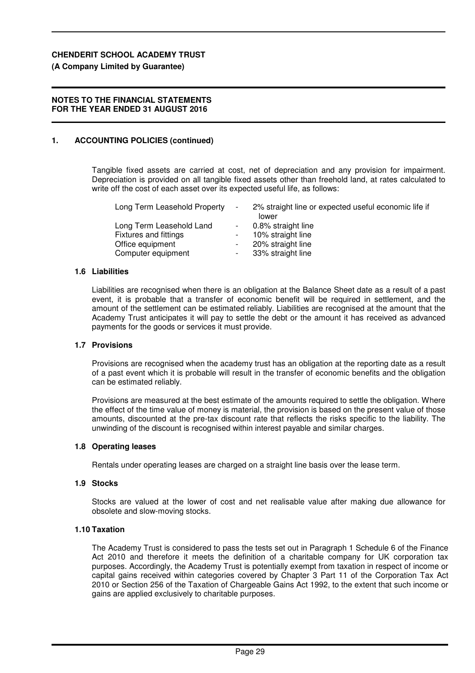### **(A Company Limited by Guarantee)**

### **NOTES TO THE FINANCIAL STATEMENTS FOR THE YEAR ENDED 31 AUGUST 2016**

### **1. ACCOUNTING POLICIES (continued)**

Tangible fixed assets are carried at cost, net of depreciation and any provision for impairment. Depreciation is provided on all tangible fixed assets other than freehold land, at rates calculated to write off the cost of each asset over its expected useful life, as follows:

| Long Term Leasehold Property | $\overline{\phantom{a}}$ | 2% straight line or expected useful economic life if<br>lower |
|------------------------------|--------------------------|---------------------------------------------------------------|
| Long Term Leasehold Land     | $\sim 100$               | 0.8% straight line                                            |
| <b>Fixtures and fittings</b> |                          | 10% straight line                                             |
| Office equipment             |                          | 20% straight line                                             |
| Computer equipment           | $\sim$ 100 $\mu$         | 33% straight line                                             |

### **1.6 Liabilities**

Liabilities are recognised when there is an obligation at the Balance Sheet date as a result of a past event, it is probable that a transfer of economic benefit will be required in settlement, and the amount of the settlement can be estimated reliably. Liabilities are recognised at the amount that the Academy Trust anticipates it will pay to settle the debt or the amount it has received as advanced payments for the goods or services it must provide.

#### **1.7 Provisions**

Provisions are recognised when the academy trust has an obligation at the reporting date as a result of a past event which it is probable will result in the transfer of economic benefits and the obligation can be estimated reliably.

Provisions are measured at the best estimate of the amounts required to settle the obligation. Where the effect of the time value of money is material, the provision is based on the present value of those amounts, discounted at the pre-tax discount rate that reflects the risks specific to the liability. The unwinding of the discount is recognised within interest payable and similar charges.

### **1.8 Operating leases**

Rentals under operating leases are charged on a straight line basis over the lease term.

#### **1.9 Stocks**

Stocks are valued at the lower of cost and net realisable value after making due allowance for obsolete and slow-moving stocks.

#### **1.10 Taxation**

The Academy Trust is considered to pass the tests set out in Paragraph 1 Schedule 6 of the Finance Act 2010 and therefore it meets the definition of a charitable company for UK corporation tax purposes. Accordingly, the Academy Trust is potentially exempt from taxation in respect of income or capital gains received within categories covered by Chapter 3 Part 11 of the Corporation Tax Act 2010 or Section 256 of the Taxation of Chargeable Gains Act 1992, to the extent that such income or gains are applied exclusively to charitable purposes.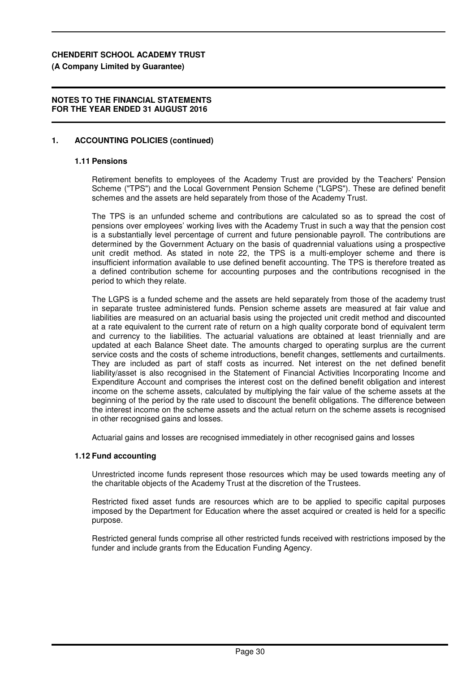**(A Company Limited by Guarantee)**

### **NOTES TO THE FINANCIAL STATEMENTS FOR THE YEAR ENDED 31 AUGUST 2016**

### **1. ACCOUNTING POLICIES (continued)**

#### **1.11 Pensions**

Retirement benefits to employees of the Academy Trust are provided by the Teachers' Pension Scheme ("TPS") and the Local Government Pension Scheme ("LGPS"). These are defined benefit schemes and the assets are held separately from those of the Academy Trust.

The TPS is an unfunded scheme and contributions are calculated so as to spread the cost of pensions over employees' working lives with the Academy Trust in such a way that the pension cost is a substantially level percentage of current and future pensionable payroll. The contributions are determined by the Government Actuary on the basis of quadrennial valuations using a prospective unit credit method. As stated in note 22, the TPS is a multi-employer scheme and there is insufficient information available to use defined benefit accounting. The TPS is therefore treated as a defined contribution scheme for accounting purposes and the contributions recognised in the period to which they relate.

The LGPS is a funded scheme and the assets are held separately from those of the academy trust in separate trustee administered funds. Pension scheme assets are measured at fair value and liabilities are measured on an actuarial basis using the projected unit credit method and discounted at a rate equivalent to the current rate of return on a high quality corporate bond of equivalent term and currency to the liabilities. The actuarial valuations are obtained at least triennially and are updated at each Balance Sheet date. The amounts charged to operating surplus are the current service costs and the costs of scheme introductions, benefit changes, settlements and curtailments. They are included as part of staff costs as incurred. Net interest on the net defined benefit liability/asset is also recognised in the Statement of Financial Activities Incorporating Income and Expenditure Account and comprises the interest cost on the defined benefit obligation and interest income on the scheme assets, calculated by multiplying the fair value of the scheme assets at the beginning of the period by the rate used to discount the benefit obligations. The difference between the interest income on the scheme assets and the actual return on the scheme assets is recognised in other recognised gains and losses.

Actuarial gains and losses are recognised immediately in other recognised gains and losses

#### **1.12 Fund accounting**

Unrestricted income funds represent those resources which may be used towards meeting any of the charitable objects of the Academy Trust at the discretion of the Trustees.

Restricted fixed asset funds are resources which are to be applied to specific capital purposes imposed by the Department for Education where the asset acquired or created is held for a specific purpose.

Restricted general funds comprise all other restricted funds received with restrictions imposed by the funder and include grants from the Education Funding Agency.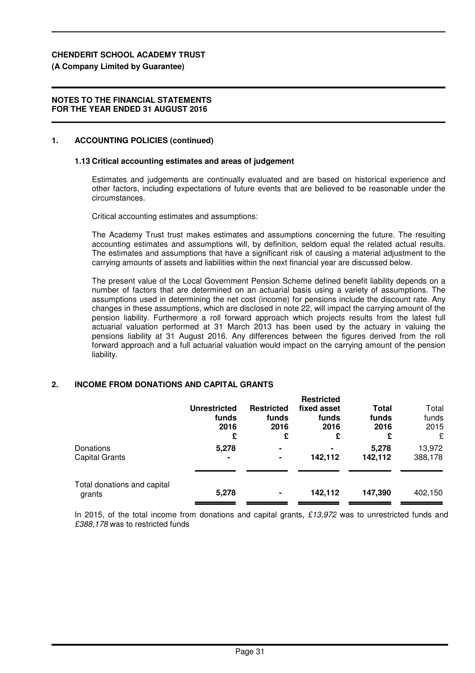## **(A Company Limited by Guarantee)**

## **NOTES TO THE FINANCIAL STATEMENTS FOR THE YEAR ENDED 31 AUGUST 2016**

## **1. ACCOUNTING POLICIES (continued)**

## **1.13 Critical accounting estimates and areas of judgement**

Estimates and judgements are continually evaluated and are based on historical experience and other factors, including expectations of future events that are believed to be reasonable under the circumstances.

Critical accounting estimates and assumptions:

The Academy Trust trust makes estimates and assumptions concerning the future. The resulting accounting estimates and assumptions will, by definition, seldom equal the related actual results. The estimates and assumptions that have a significant risk of causing a material adjustment to the carrying amounts of assets and liabilities within the next financial year are discussed below.

The present value of the Local Government Pension Scheme defined benefit liability depends on a number of factors that are determined on an actuarial basis using a variety of assumptions. The assumptions used in determining the net cost (income) for pensions include the discount rate. Any changes in these assumptions, which are disclosed in note 22, will impact the carrying amount of the pension liability. Furthermore a roll forward approach which projects results from the latest full actuarial valuation performed at 31 March 2013 has been used by the actuary in valuing the pensions liability at 31 August 2016. Any differences between the figures derived from the roll forward approach and a full actuarial valuation would impact on the carrying amount of the pension liability.

## **2. INCOME FROM DONATIONS AND CAPITAL GRANTS**

|                                       | <b>Unrestricted</b><br>funds<br>2016<br>£ | <b>Restricted</b><br>funds<br>2016<br>£ | <b>Restricted</b><br>fixed asset<br>funds<br>2016<br>£ | Total<br>funds<br>2016<br>£ | Total<br>funds<br>2015<br>£ |
|---------------------------------------|-------------------------------------------|-----------------------------------------|--------------------------------------------------------|-----------------------------|-----------------------------|
| Donations<br><b>Capital Grants</b>    | 5,278                                     | ۰<br>۰                                  | 142,112                                                | 5,278<br>142,112            | 13,972<br>388,178           |
| Total donations and capital<br>grants | 5,278                                     | ۰                                       | 142,112                                                | 147,390                     | 402,150                     |

In 2015, of the total income from donations and capital grants, £13,972 was to unrestricted funds and £388,178 was to restricted funds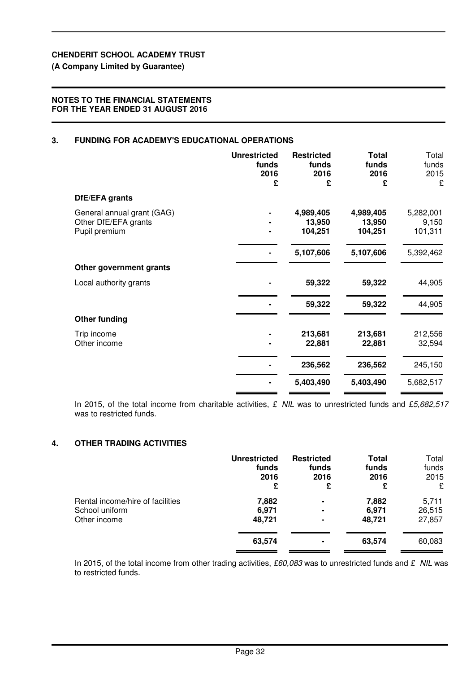## **(A Company Limited by Guarantee)**

### **NOTES TO THE FINANCIAL STATEMENTS FOR THE YEAR ENDED 31 AUGUST 2016**

## **3. FUNDING FOR ACADEMY'S EDUCATIONAL OPERATIONS**

|                                                                     | <b>Unrestricted</b><br>funds<br>2016<br>£ | <b>Restricted</b><br>funds<br>2016<br>£ | <b>Total</b><br>funds<br>2016<br>£ | Total<br>funds<br>2015<br>£   |
|---------------------------------------------------------------------|-------------------------------------------|-----------------------------------------|------------------------------------|-------------------------------|
| DfE/EFA grants                                                      |                                           |                                         |                                    |                               |
| General annual grant (GAG)<br>Other DfE/EFA grants<br>Pupil premium |                                           | 4,989,405<br>13,950<br>104,251          | 4,989,405<br>13,950<br>104,251     | 5,282,001<br>9,150<br>101,311 |
|                                                                     |                                           | 5,107,606                               | 5,107,606                          | 5,392,462                     |
| Other government grants                                             |                                           |                                         |                                    |                               |
| Local authority grants                                              |                                           | 59,322                                  | 59,322                             | 44,905                        |
|                                                                     |                                           | 59,322                                  | 59,322                             | 44,905                        |
| <b>Other funding</b>                                                |                                           |                                         |                                    |                               |
| Trip income<br>Other income                                         |                                           | 213,681<br>22,881                       | 213,681<br>22,881                  | 212,556<br>32,594             |
|                                                                     |                                           | 236,562                                 | 236,562                            | 245,150                       |
|                                                                     |                                           | 5,403,490                               | 5,403,490                          | 5,682,517                     |

In 2015, of the total income from charitable activities,  $£$  NIL was to unrestricted funds and £5,682,517 was to restricted funds.

### **4. OTHER TRADING ACTIVITIES**

|                                  | <b>Unrestricted</b> | <b>Restricted</b> | Total  | Total  |
|----------------------------------|---------------------|-------------------|--------|--------|
|                                  | funds               | funds             | funds  | funds  |
|                                  | 2016                | 2016              | 2016   | 2015   |
|                                  | £                   | £                 | £      | £      |
| Rental income/hire of facilities | 7,882               | ۰                 | 7,882  | 5,711  |
| School uniform                   | 6,971               | ۰                 | 6,971  | 26,515 |
| Other income                     | 48,721              | ۰                 | 48,721 | 27,857 |
|                                  | 63,574              | ۰                 | 63,574 | 60,083 |

In 2015, of the total income from other trading activities, £60,083 was to unrestricted funds and  $£$  NIL was to restricted funds.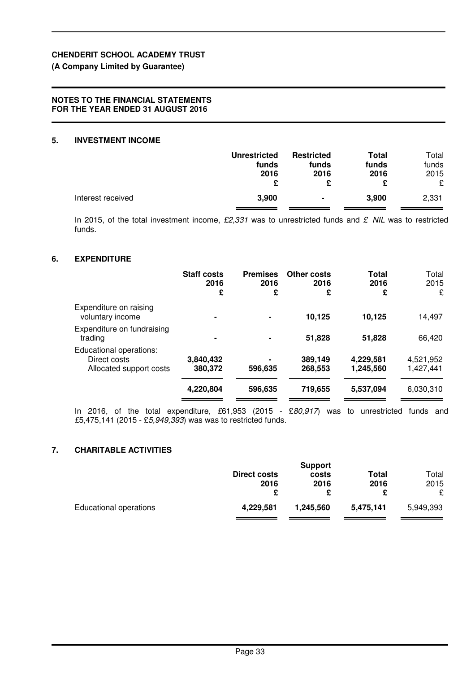## **(A Company Limited by Guarantee)**

## **NOTES TO THE FINANCIAL STATEMENTS FOR THE YEAR ENDED 31 AUGUST 2016**

## **5. INVESTMENT INCOME**

|                   | <b>Unrestricted</b><br>funds<br>2016 | <b>Restricted</b><br>funds<br>2016 | <b>Total</b><br>funds<br>2016 | Total<br>funds<br>2015<br>£ |
|-------------------|--------------------------------------|------------------------------------|-------------------------------|-----------------------------|
| Interest received | 3,900                                | $\blacksquare$                     | 3,900                         | 2,331                       |

In 2015, of the total investment income,  $£2,331$  was to unrestricted funds and  $£$  NIL was to restricted funds.

## **6. EXPENDITURE**

|                                                                    | <b>Staff costs</b><br>2016<br>£ | <b>Premises</b><br>2016<br>£ | Other costs<br>2016<br>£ | Total<br>2016<br>£     | Total<br>2015<br>£     |
|--------------------------------------------------------------------|---------------------------------|------------------------------|--------------------------|------------------------|------------------------|
| Expenditure on raising<br>voluntary income                         | ٠                               | $\blacksquare$               | 10,125                   | 10,125                 | 14,497                 |
| Expenditure on fundraising<br>trading                              | ۰                               | $\blacksquare$               | 51,828                   | 51,828                 | 66,420                 |
| Educational operations:<br>Direct costs<br>Allocated support costs | 3,840,432<br>380,372            | 596,635                      | 389,149<br>268,553       | 4,229,581<br>1,245,560 | 4,521,952<br>1,427,441 |
|                                                                    | 4,220,804                       | 596,635                      | 719,655                  | 5,537,094              | 6,030,310              |

In 2016, of the total expenditure, £61,953 (2015 - £80,917) was to unrestricted funds and £5,475,141 (2015 - £5,949,393) was was to restricted funds.

## **7. CHARITABLE ACTIVITIES**

|                               | <b>Direct costs</b><br>2016 | <b>Support</b><br>costs<br>2016 | Total<br>2016 | Total<br>2015<br>£ |
|-------------------------------|-----------------------------|---------------------------------|---------------|--------------------|
| <b>Educational operations</b> | 4.229.581                   | 1,245,560                       | 5.475.141     | 5,949,393          |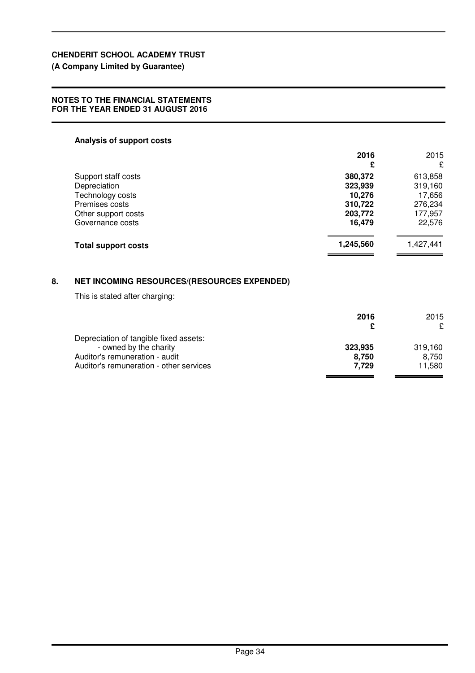## **(A Company Limited by Guarantee)**

### **NOTES TO THE FINANCIAL STATEMENTS FOR THE YEAR ENDED 31 AUGUST 2016**

### **Analysis of support costs**

|    |                                                    | 2016      | 2015      |
|----|----------------------------------------------------|-----------|-----------|
|    |                                                    | £         | £         |
|    | Support staff costs                                | 380,372   | 613,858   |
|    | Depreciation                                       | 323,939   | 319,160   |
|    | Technology costs                                   | 10,276    | 17,656    |
|    | Premises costs                                     | 310,722   | 276,234   |
|    | Other support costs                                | 203,772   | 177,957   |
|    | Governance costs                                   | 16,479    | 22,576    |
|    | <b>Total support costs</b>                         | 1,245,560 | 1,427,441 |
| 8. | <b>NET INCOMING RESOURCES/(RESOURCES EXPENDED)</b> |           |           |
|    | This is stated after charging:                     |           |           |
|    |                                                    | 2016      | 2015      |
|    |                                                    | £         | £         |
|    | Depreciation of tangible fixed assets:             |           |           |
|    | - owned by the charity                             | 323,935   | 319,160   |
|    | Auditarla ramunaration qudit                       | 0.750     | 0.750     |

Auditor's remuneration - audit **8,750**<br>
Auditor's remuneration - other services **8,750**<br> **Auditor's remuneration - other services** Auditor's remuneration - other services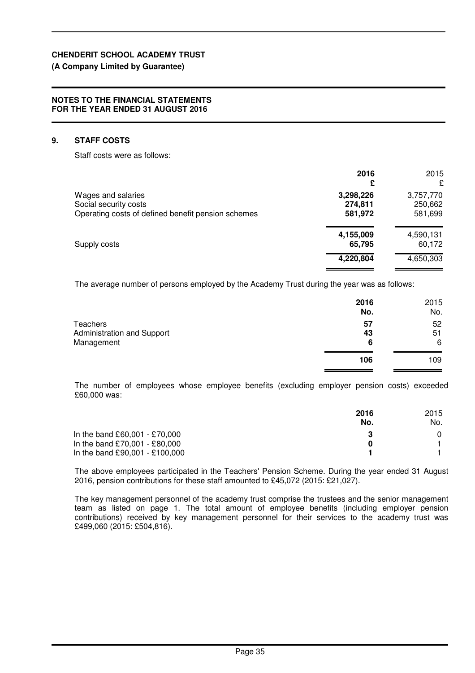### **(A Company Limited by Guarantee)**

### **NOTES TO THE FINANCIAL STATEMENTS FOR THE YEAR ENDED 31 AUGUST 2016**

### **9. STAFF COSTS**

Staff costs were as follows:

| 2016<br>£           | 2015<br>£           |
|---------------------|---------------------|
| 3,298,226           | 3,757,770           |
| 581,972             | 250,662<br>581,699  |
| 4,155,009<br>65,795 | 4,590,131<br>60,172 |
| 4,220,804           | 4,650,303           |
|                     | 274,811             |

The average number of persons employed by the Academy Trust during the year was as follows:

|                                                      | 2016<br>No.   | 2015<br>No.   |
|------------------------------------------------------|---------------|---------------|
| Teachers<br>Administration and Support<br>Management | 57<br>43<br>6 | 52<br>51<br>6 |
|                                                      | 106           | 109           |

The number of employees whose employee benefits (excluding employer pension costs) exceeded £60,000 was:

|                                | 2016<br>No. | 2015<br>No. |
|--------------------------------|-------------|-------------|
| In the band £60,001 - £70,000  |             |             |
| In the band £70,001 - £80,000  | O           |             |
| In the band £90,001 - £100,000 |             |             |

The above employees participated in the Teachers' Pension Scheme. During the year ended 31 August 2016, pension contributions for these staff amounted to £45,072 (2015: £21,027).

The key management personnel of the academy trust comprise the trustees and the senior management team as listed on page 1. The total amount of employee benefits (including employer pension contributions) received by key management personnel for their services to the academy trust was £499,060 (2015: £504,816).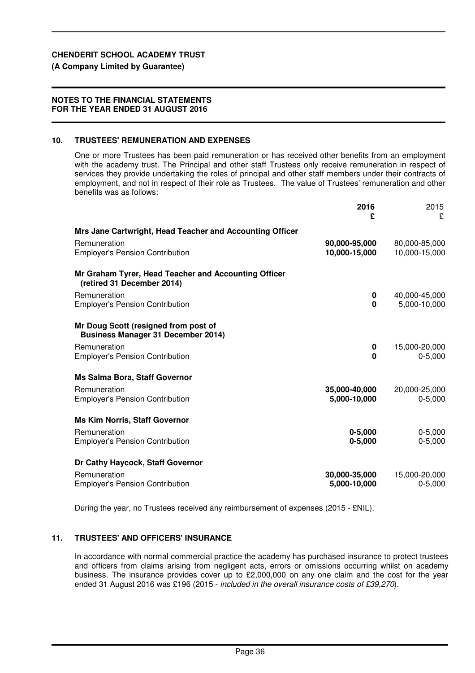## **(A Company Limited by Guarantee)**

## **NOTES TO THE FINANCIAL STATEMENTS FOR THE YEAR ENDED 31 AUGUST 2016**

## **10. TRUSTEES' REMUNERATION AND EXPENSES**

One or more Trustees has been paid remuneration or has received other benefits from an employment with the academy trust. The Principal and other staff Trustees only receive remuneration in respect of services they provide undertaking the roles of principal and other staff members under their contracts of employment, and not in respect of their role as Trustees. The value of Trustees' remuneration and other benefits was as follows:

|                                                                                    | 2016<br>£                      | 2015<br>£                      |
|------------------------------------------------------------------------------------|--------------------------------|--------------------------------|
| Mrs Jane Cartwright, Head Teacher and Accounting Officer                           |                                |                                |
| Remuneration<br><b>Employer's Pension Contribution</b>                             | 90,000-95,000<br>10,000-15,000 | 80,000-85,000<br>10,000-15,000 |
| Mr Graham Tyrer, Head Teacher and Accounting Officer<br>(retired 31 December 2014) |                                |                                |
| Remuneration<br><b>Employer's Pension Contribution</b>                             | 0<br>$\mathbf 0$               | 40,000-45,000<br>5,000-10,000  |
| Mr Doug Scott (resigned from post of<br><b>Business Manager 31 December 2014)</b>  |                                |                                |
| Remuneration<br><b>Employer's Pension Contribution</b>                             | 0<br>$\bf{0}$                  | 15,000-20,000<br>$0 - 5,000$   |
| <b>Ms Salma Bora, Staff Governor</b>                                               |                                |                                |
| Remuneration<br><b>Employer's Pension Contribution</b>                             | 35,000-40,000<br>5,000-10,000  | 20,000-25,000<br>$0 - 5,000$   |
| <b>Ms Kim Norris, Staff Governor</b>                                               |                                |                                |
| Remuneration<br><b>Employer's Pension Contribution</b>                             | $0 - 5,000$<br>$0 - 5,000$     | $0 - 5,000$<br>$0 - 5,000$     |
| Dr Cathy Haycock, Staff Governor                                                   |                                |                                |
| Remuneration<br><b>Employer's Pension Contribution</b>                             | 30,000-35,000<br>5,000-10,000  | 15,000-20,000<br>$0 - 5,000$   |

During the year, no Trustees received any reimbursement of expenses (2015 - £NIL).

## **11. TRUSTEES' AND OFFICERS' INSURANCE**

In accordance with normal commercial practice the academy has purchased insurance to protect trustees and officers from claims arising from negligent acts, errors or omissions occurring whilst on academy business. The insurance provides cover up to £2,000,000 on any one claim and the cost for the year ended 31 August 2016 was £196 (2015 - included in the overall insurance costs of £39,270).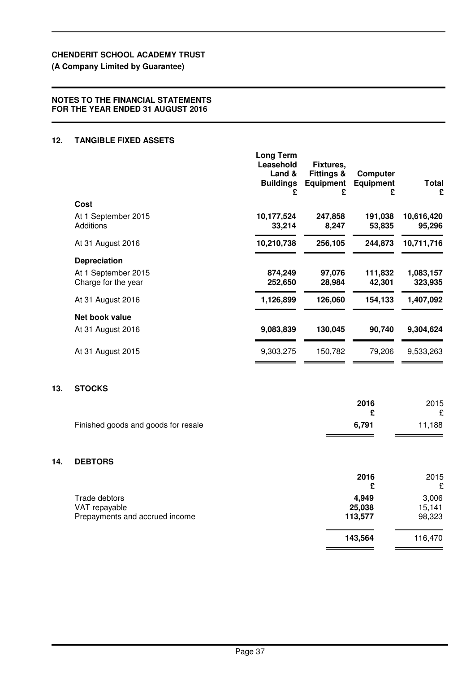## **(A Company Limited by Guarantee)**

## **NOTES TO THE FINANCIAL STATEMENTS FOR THE YEAR ENDED 31 AUGUST 2016**

## **12. TANGIBLE FIXED ASSETS**

**13.** 

**14.** 

|                                            | <b>Long Term</b><br>Leasehold<br>Land &<br><b>Buildings</b><br>£ | Fixtures,<br><b>Fittings &amp;</b><br><b>Equipment</b><br>£ | <b>Computer</b><br><b>Equipment</b><br>£ | <b>Total</b><br>£    |
|--------------------------------------------|------------------------------------------------------------------|-------------------------------------------------------------|------------------------------------------|----------------------|
| <b>Cost</b>                                |                                                                  |                                                             |                                          |                      |
| At 1 September 2015<br>Additions           | 10,177,524<br>33,214                                             | 247,858<br>8,247                                            | 191,038<br>53,835                        | 10,616,420<br>95,296 |
| At 31 August 2016                          | 10,210,738                                                       | 256,105                                                     | 244,873                                  | 10,711,716           |
| <b>Depreciation</b>                        |                                                                  |                                                             |                                          |                      |
| At 1 September 2015<br>Charge for the year | 874,249<br>252,650                                               | 97,076<br>28,984                                            | 111,832<br>42,301                        | 1,083,157<br>323,935 |
| At 31 August 2016                          | 1,126,899                                                        | 126,060                                                     | 154,133                                  | 1,407,092            |
| Net book value                             |                                                                  |                                                             |                                          |                      |
| At 31 August 2016                          | 9,083,839                                                        | 130,045                                                     | 90,740                                   | 9,304,624            |
| At 31 August 2015                          | 9,303,275                                                        | 150,782                                                     | 79,206                                   | 9,533,263            |
| <b>STOCKS</b>                              |                                                                  |                                                             |                                          |                      |
|                                            |                                                                  |                                                             | 2016                                     | 2015                 |
| Finished goods and goods for resale        |                                                                  |                                                             | £<br>6,791                               | £<br>11,188          |
| <b>DEBTORS</b>                             |                                                                  |                                                             |                                          |                      |
|                                            |                                                                  |                                                             | 2016<br>£                                | 2015<br>£            |
| Trade debtors                              |                                                                  |                                                             | 4,949                                    | 3,006                |
| VAT repayable                              |                                                                  |                                                             | 25,038                                   | 15,141               |
| Prepayments and accrued income             |                                                                  |                                                             | 113,577                                  | 98,323               |

 **143,564** 116,470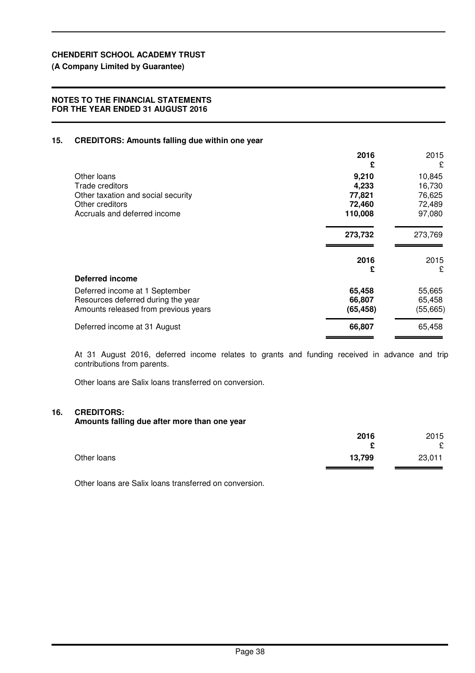**(A Company Limited by Guarantee)**

### **NOTES TO THE FINANCIAL STATEMENTS FOR THE YEAR ENDED 31 AUGUST 2016**

### **15. CREDITORS: Amounts falling due within one year**

| 2016<br>£ | 2015<br>£ |
|-----------|-----------|
| 9,210     | 10,845    |
| 4,233     | 16,730    |
| 77,821    | 76,625    |
| 72,460    | 72,489    |
| 110,008   | 97,080    |
| 273,732   | 273,769   |
| 2016      | 2015      |
| £         | £         |
|           |           |
| 65,458    | 55,665    |
| 66,807    | 65,458    |
| (65, 458) | (55,665)  |
| 66,807    | 65,458    |
|           |           |

At 31 August 2016, deferred income relates to grants and funding received in advance and trip contributions from parents.

Other loans are Salix loans transferred on conversion.

### **16. CREDITORS:**

**Amounts falling due after more than one year**

|             | 2016<br>£ | 2015<br>£ |
|-------------|-----------|-----------|
| Other loans | 13,799    | 23,011    |

Other loans are Salix loans transferred on conversion.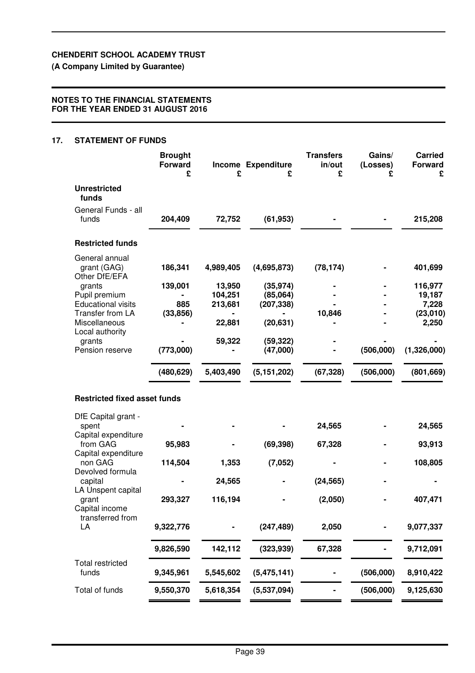**(A Company Limited by Guarantee)**

### **NOTES TO THE FINANCIAL STATEMENTS FOR THE YEAR ENDED 31 AUGUST 2016**

### **17. STATEMENT OF FUNDS**

|                                                      | <b>Brought</b><br><b>Forward</b><br>£ | £                            | Income Expenditure<br>£             | <b>Transfers</b><br>in/out<br>£ | Gains/<br>(Losses)<br>£ | <b>Carried</b><br><b>Forward</b><br>£ |
|------------------------------------------------------|---------------------------------------|------------------------------|-------------------------------------|---------------------------------|-------------------------|---------------------------------------|
| <b>Unrestricted</b><br>funds                         |                                       |                              |                                     |                                 |                         |                                       |
| General Funds - all<br>funds                         | 204,409                               | 72,752                       | (61, 953)                           |                                 |                         | 215,208                               |
| <b>Restricted funds</b>                              |                                       |                              |                                     |                                 |                         |                                       |
| General annual<br>grant (GAG)<br>Other DfE/EFA       | 186,341                               | 4,989,405                    | (4,695,873)                         | (78, 174)                       |                         | 401,699                               |
| grants<br>Pupil premium<br><b>Educational visits</b> | 139,001<br>885                        | 13,950<br>104,251<br>213,681 | (35, 974)<br>(85,064)<br>(207, 338) |                                 |                         | 116,977<br>19,187<br>7,228            |
| Transfer from LA<br>Miscellaneous                    | (33, 856)                             | 22,881                       | (20, 631)                           | 10,846                          |                         | (23,010)<br>2,250                     |
| Local authority<br>grants<br>Pension reserve         | (773,000)                             | 59,322                       | (59, 322)<br>(47,000)               |                                 | (506,000)               | (1,326,000)                           |
|                                                      | (480, 629)                            | 5,403,490                    | (5, 151, 202)                       | (67, 328)                       | (506,000)               | (801, 669)                            |
| <b>Restricted fixed asset funds</b>                  |                                       |                              |                                     |                                 |                         |                                       |
| DfE Capital grant -<br>spent                         |                                       |                              |                                     | 24,565                          |                         | 24,565                                |
| Capital expenditure<br>from GAG                      | 95,983                                |                              | (69, 398)                           | 67,328                          |                         | 93,913                                |
| Capital expenditure<br>non GAG                       | 114,504                               | 1,353                        | (7,052)                             |                                 |                         | 108,805                               |
| Devolved formula<br>capital                          |                                       | 24,565                       |                                     | (24, 565)                       |                         |                                       |
| LA Unspent capital<br>grant<br>Capital income        | 293,327                               | 116,194                      |                                     | (2,050)                         |                         | 407,471                               |
| transferred from<br>LA                               | 9,322,776                             |                              | (247, 489)                          | 2,050                           |                         | 9,077,337                             |
|                                                      | 9,826,590                             | 142,112                      | (323, 939)                          | 67,328                          |                         | 9,712,091                             |
| <b>Total restricted</b><br>funds                     | 9,345,961                             | 5,545,602                    | (5, 475, 141)                       |                                 | (506,000)               | 8,910,422                             |
| Total of funds                                       | 9,550,370                             | 5,618,354                    | (5,537,094)                         |                                 | (506,000)               | 9,125,630                             |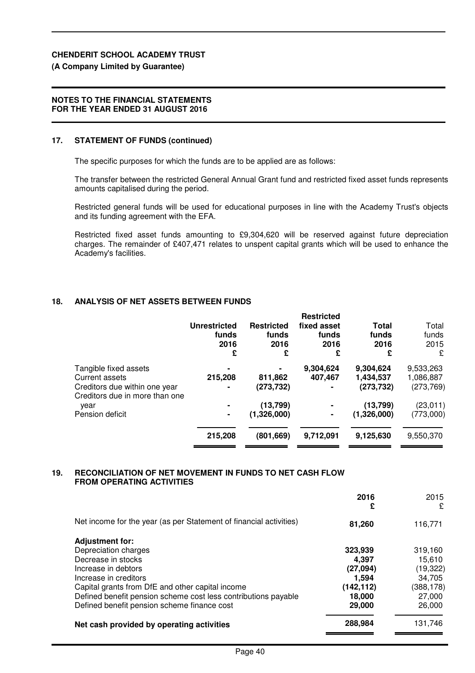### **(A Company Limited by Guarantee)**

### **NOTES TO THE FINANCIAL STATEMENTS FOR THE YEAR ENDED 31 AUGUST 2016**

### **17. STATEMENT OF FUNDS (continued)**

The specific purposes for which the funds are to be applied are as follows:

The transfer between the restricted General Annual Grant fund and restricted fixed asset funds represents amounts capitalised during the period.

Restricted general funds will be used for educational purposes in line with the Academy Trust's objects and its funding agreement with the EFA.

Restricted fixed asset funds amounting to £9,304,620 will be reserved against future depreciation charges. The remainder of £407,471 relates to unspent capital grants which will be used to enhance the Academy's facilities.

### **18. ANALYSIS OF NET ASSETS BETWEEN FUNDS**

|                                                                                                            | <b>Unrestricted</b><br>funds<br>2016<br>£ | <b>Restricted</b><br>funds<br>2016<br>£ | <b>Restricted</b><br>fixed asset<br>funds<br>2016<br>£ | Total<br>funds<br>2016<br>£          | Total<br>funds<br>2015<br>£          |
|------------------------------------------------------------------------------------------------------------|-------------------------------------------|-----------------------------------------|--------------------------------------------------------|--------------------------------------|--------------------------------------|
| Tangible fixed assets<br>Current assets<br>Creditors due within one year<br>Creditors due in more than one | 215,208                                   | 811,862<br>(273, 732)                   | 9,304,624<br>407,467                                   | 9,304,624<br>1,434,537<br>(273, 732) | 9,533,263<br>1,086,887<br>(273, 769) |
| year<br>Pension deficit                                                                                    | ۰                                         | (13,799)<br>(1,326,000)                 | ۰                                                      | (13,799)<br>(1,326,000)              | (23, 011)<br>(773,000)               |
|                                                                                                            | 215,208                                   | (801, 669)                              | 9,712,091                                              | 9,125,630                            | 9,550,370                            |

### **19. RECONCILIATION OF NET MOVEMENT IN FUNDS TO NET CASH FLOW FROM OPERATING ACTIVITIES**

|                                                                    | 2016<br>£  | 2015<br>£  |
|--------------------------------------------------------------------|------------|------------|
| Net income for the year (as per Statement of financial activities) | 81,260     | 116,771    |
| <b>Adjustment for:</b>                                             |            |            |
| Depreciation charges                                               | 323,939    | 319,160    |
| Decrease in stocks                                                 | 4.397      | 15,610     |
| Increase in debtors                                                | (27,094)   | (19, 322)  |
| Increase in creditors                                              | 1.594      | 34,705     |
| Capital grants from DfE and other capital income                   | (142, 112) | (388, 178) |
| Defined benefit pension scheme cost less contributions payable     | 18,000     | 27,000     |
| Defined benefit pension scheme finance cost                        | 29,000     | 26,000     |
| Net cash provided by operating activities                          | 288,984    | 131,746    |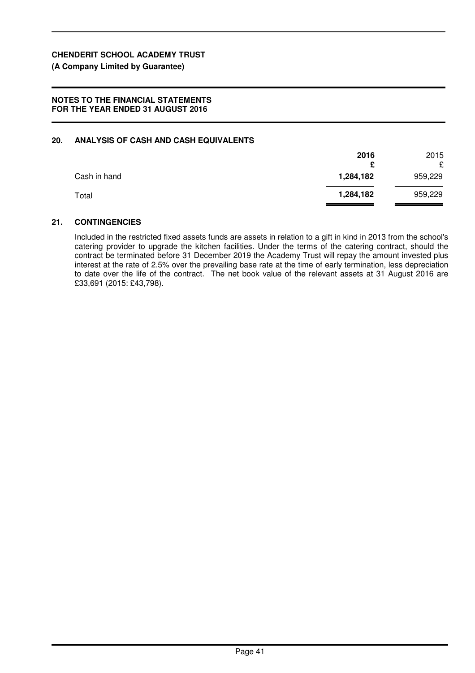## **(A Company Limited by Guarantee)**

### **NOTES TO THE FINANCIAL STATEMENTS FOR THE YEAR ENDED 31 AUGUST 2016**

### **20. ANALYSIS OF CASH AND CASH EQUIVALENTS**

|              | 2016<br>£ | 2015<br>£ |
|--------------|-----------|-----------|
| Cash in hand | 1,284,182 | 959,229   |
| Total        | 1,284,182 | 959,229   |

### **21. CONTINGENCIES**

Included in the restricted fixed assets funds are assets in relation to a gift in kind in 2013 from the school's catering provider to upgrade the kitchen facilities. Under the terms of the catering contract, should the contract be terminated before 31 December 2019 the Academy Trust will repay the amount invested plus interest at the rate of 2.5% over the prevailing base rate at the time of early termination, less depreciation to date over the life of the contract. The net book value of the relevant assets at 31 August 2016 are £33,691 (2015: £43,798).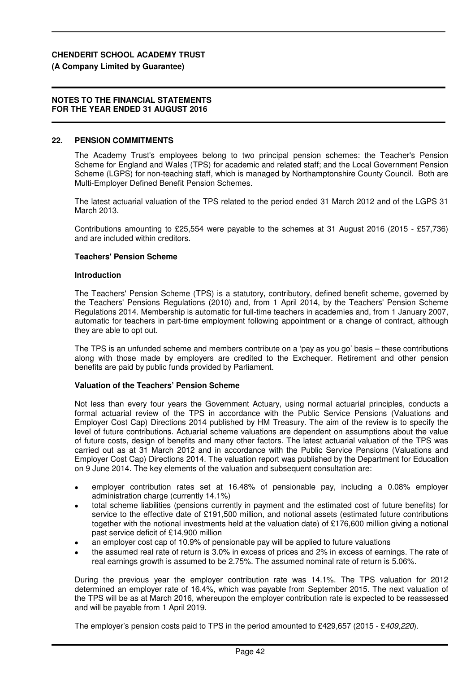### **(A Company Limited by Guarantee)**

#### **NOTES TO THE FINANCIAL STATEMENTS FOR THE YEAR ENDED 31 AUGUST 2016**

### **22. PENSION COMMITMENTS**

The Academy Trust's employees belong to two principal pension schemes: the Teacher's Pension Scheme for England and Wales (TPS) for academic and related staff; and the Local Government Pension Scheme (LGPS) for non-teaching staff, which is managed by Northamptonshire County Council. Both are Multi-Employer Defined Benefit Pension Schemes.

The latest actuarial valuation of the TPS related to the period ended 31 March 2012 and of the LGPS 31 March 2013.

Contributions amounting to £25,554 were payable to the schemes at 31 August 2016 (2015 - £57,736) and are included within creditors.

### **Teachers' Pension Scheme**

#### **Introduction**

The Teachers' Pension Scheme (TPS) is a statutory, contributory, defined benefit scheme, governed by the Teachers' Pensions Regulations (2010) and, from 1 April 2014, by the Teachers' Pension Scheme Regulations 2014. Membership is automatic for full-time teachers in academies and, from 1 January 2007, automatic for teachers in part-time employment following appointment or a change of contract, although they are able to opt out.

The TPS is an unfunded scheme and members contribute on a 'pay as you go' basis – these contributions along with those made by employers are credited to the Exchequer. Retirement and other pension benefits are paid by public funds provided by Parliament.

### **Valuation of the Teachers' Pension Scheme**

Not less than every four years the Government Actuary, using normal actuarial principles, conducts a formal actuarial review of the TPS in accordance with the Public Service Pensions (Valuations and Employer Cost Cap) Directions 2014 published by HM Treasury. The aim of the review is to specify the level of future contributions. Actuarial scheme valuations are dependent on assumptions about the value of future costs, design of benefits and many other factors. The latest actuarial valuation of the TPS was carried out as at 31 March 2012 and in accordance with the Public Service Pensions (Valuations and Employer Cost Cap) Directions 2014. The valuation report was published by the Department for Education on 9 June 2014. The key elements of the valuation and subsequent consultation are:

- employer contribution rates set at 16.48% of pensionable pay, including a 0.08% employer administration charge (currently 14.1%)
- total scheme liabilities (pensions currently in payment and the estimated cost of future benefits) for service to the effective date of £191,500 million, and notional assets (estimated future contributions together with the notional investments held at the valuation date) of £176,600 million giving a notional past service deficit of £14,900 million
- an employer cost cap of 10.9% of pensionable pay will be applied to future valuations
- the assumed real rate of return is 3.0% in excess of prices and 2% in excess of earnings. The rate of real earnings growth is assumed to be 2.75%. The assumed nominal rate of return is 5.06%.

During the previous year the employer contribution rate was 14.1%. The TPS valuation for 2012 determined an employer rate of 16.4%, which was payable from September 2015. The next valuation of the TPS will be as at March 2016, whereupon the employer contribution rate is expected to be reassessed and will be payable from 1 April 2019.

The employer's pension costs paid to TPS in the period amounted to £429,657 (2015 - £409,220).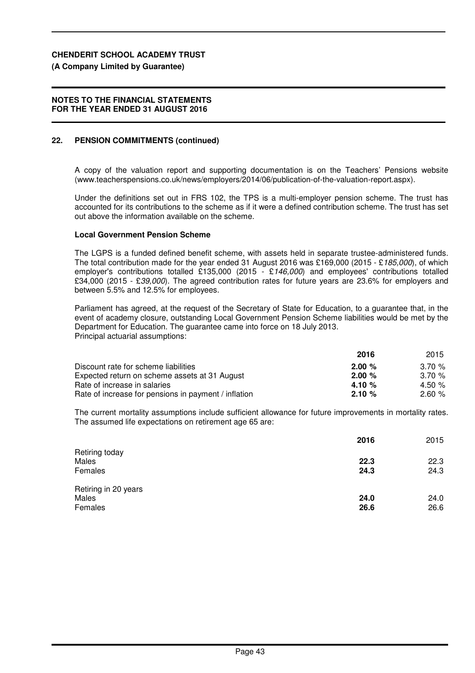## **(A Company Limited by Guarantee)**

## **NOTES TO THE FINANCIAL STATEMENTS FOR THE YEAR ENDED 31 AUGUST 2016**

## **22. PENSION COMMITMENTS (continued)**

A copy of the valuation report and supporting documentation is on the Teachers' Pensions website (www.teacherspensions.co.uk/news/employers/2014/06/publication-of-the-valuation-report.aspx).

Under the definitions set out in FRS 102, the TPS is a multi-employer pension scheme. The trust has accounted for its contributions to the scheme as if it were a defined contribution scheme. The trust has set out above the information available on the scheme.

## **Local Government Pension Scheme**

The LGPS is a funded defined benefit scheme, with assets held in separate trustee-administered funds. The total contribution made for the year ended 31 August 2016 was £169,000 (2015 - £185,000), of which employer's contributions totalled £135,000 (2015 - £146,000) and employees' contributions totalled £34,000 (2015 - £39,000). The agreed contribution rates for future years are 23.6% for employers and between 5.5% and 12.5% for employees.

Parliament has agreed, at the request of the Secretary of State for Education, to a guarantee that, in the event of academy closure, outstanding Local Government Pension Scheme liabilities would be met by the Department for Education. The guarantee came into force on 18 July 2013. Principal actuarial assumptions:

|                                                      | 2016     | 2015      |
|------------------------------------------------------|----------|-----------|
| Discount rate for scheme liabilities                 | 2.00%    | $3.70 \%$ |
| Expected return on scheme assets at 31 August        | 2.00%    | $3.70 \%$ |
| Rate of increase in salaries                         | 4.10 $%$ | 4.50 $%$  |
| Rate of increase for pensions in payment / inflation | 2.10%    | 2.60%     |

The current mortality assumptions include sufficient allowance for future improvements in mortality rates. The assumed life expectations on retirement age 65 are:

|                                          | 2016         | 2015         |
|------------------------------------------|--------------|--------------|
| Retiring today<br>Males<br>Females       | 22.3<br>24.3 | 22.3<br>24.3 |
| Retiring in 20 years<br>Males<br>Females | 24.0<br>26.6 | 24.0<br>26.6 |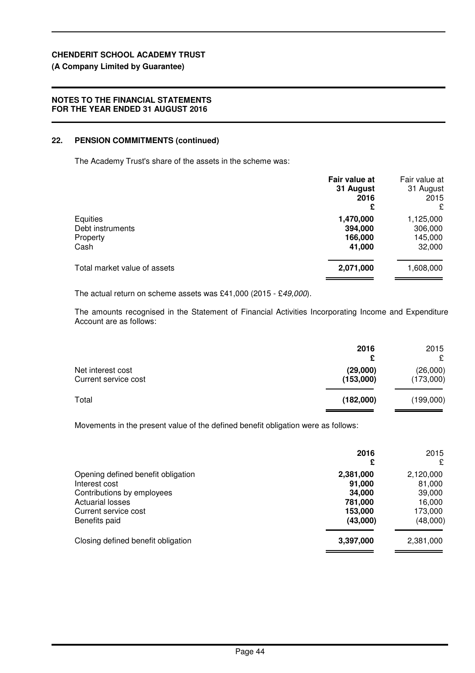## **(A Company Limited by Guarantee)**

## **NOTES TO THE FINANCIAL STATEMENTS FOR THE YEAR ENDED 31 AUGUST 2016**

## **22. PENSION COMMITMENTS (continued)**

The Academy Trust's share of the assets in the scheme was:

|                                                  | Fair value at<br>31 August<br>2016<br>£   | Fair value at<br>31 August<br>2015<br>ç   |
|--------------------------------------------------|-------------------------------------------|-------------------------------------------|
| Equities<br>Debt instruments<br>Property<br>Cash | 1,470,000<br>394,000<br>166,000<br>41,000 | 1,125,000<br>306,000<br>145,000<br>32,000 |
| Total market value of assets                     | 2,071,000                                 | 1,608,000                                 |

The actual return on scheme assets was £41,000 (2015 - £49,000).

The amounts recognised in the Statement of Financial Activities Incorporating Income and Expenditure Account are as follows:

|                                           | 2016<br>£             | 2015<br>£             |
|-------------------------------------------|-----------------------|-----------------------|
| Net interest cost<br>Current service cost | (29,000)<br>(153,000) | (26,000)<br>(173,000) |
| Total                                     | (182,000)             | (199,000)             |

Movements in the present value of the defined benefit obligation were as follows:

|                                                                                                                                                       | 2016<br>£                                                       | 2015<br>£                                                      |
|-------------------------------------------------------------------------------------------------------------------------------------------------------|-----------------------------------------------------------------|----------------------------------------------------------------|
| Opening defined benefit obligation<br>Interest cost<br>Contributions by employees<br><b>Actuarial losses</b><br>Current service cost<br>Benefits paid | 2,381,000<br>91,000<br>34,000<br>781,000<br>153,000<br>(43,000) | 2,120,000<br>81,000<br>39,000<br>16,000<br>173,000<br>(48,000) |
| Closing defined benefit obligation                                                                                                                    | 3,397,000                                                       | 2,381,000                                                      |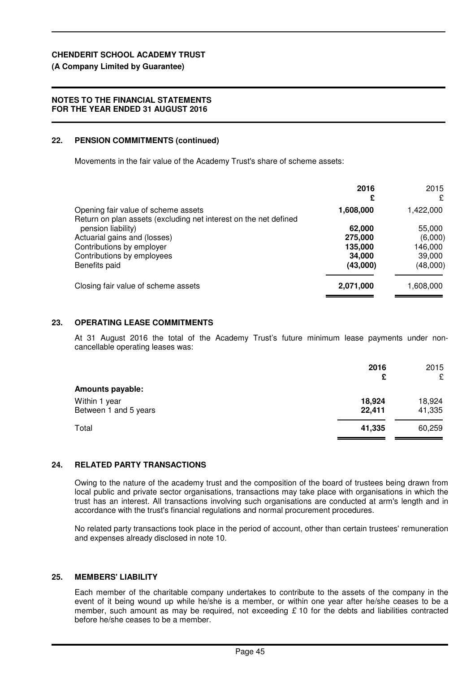## **(A Company Limited by Guarantee)**

## **NOTES TO THE FINANCIAL STATEMENTS FOR THE YEAR ENDED 31 AUGUST 2016**

## **22. PENSION COMMITMENTS (continued)**

Movements in the fair value of the Academy Trust's share of scheme assets:

|                                                                                                         | 2016<br>£ | 2015<br>£ |
|---------------------------------------------------------------------------------------------------------|-----------|-----------|
| Opening fair value of scheme assets<br>Return on plan assets (excluding net interest on the net defined | 1,608,000 | 1,422,000 |
| pension liability)                                                                                      | 62,000    | 55,000    |
| Actuarial gains and (losses)                                                                            | 275,000   | (6,000)   |
| Contributions by employer                                                                               | 135,000   | 146,000   |
| Contributions by employees                                                                              | 34,000    | 39,000    |
| Benefits paid                                                                                           | (43,000)  | (48,000)  |
| Closing fair value of scheme assets                                                                     | 2,071,000 | 1,608,000 |
|                                                                                                         |           |           |

## **23. OPERATING LEASE COMMITMENTS**

At 31 August 2016 the total of the Academy Trust's future minimum lease payments under noncancellable operating leases was:

|                                 | 2016<br>£ | 2015<br>£ |
|---------------------------------|-----------|-----------|
| <b>Amounts payable:</b>         |           |           |
| Within 1 year<br>18,924         |           | 18,924    |
| Between 1 and 5 years<br>22,411 |           | 41,335    |
| Total<br>41,335                 |           | 60,259    |

## **24. RELATED PARTY TRANSACTIONS**

Owing to the nature of the academy trust and the composition of the board of trustees being drawn from local public and private sector organisations, transactions may take place with organisations in which the trust has an interest. All transactions involving such organisations are conducted at arm's length and in accordance with the trust's financial regulations and normal procurement procedures.

No related party transactions took place in the period of account, other than certain trustees' remuneration and expenses already disclosed in note 10.

## **25. MEMBERS' LIABILITY**

Each member of the charitable company undertakes to contribute to the assets of the company in the event of it being wound up while he/she is a member, or within one year after he/she ceases to be a member, such amount as may be required, not exceeding  $£ 10$  for the debts and liabilities contracted before he/she ceases to be a member.